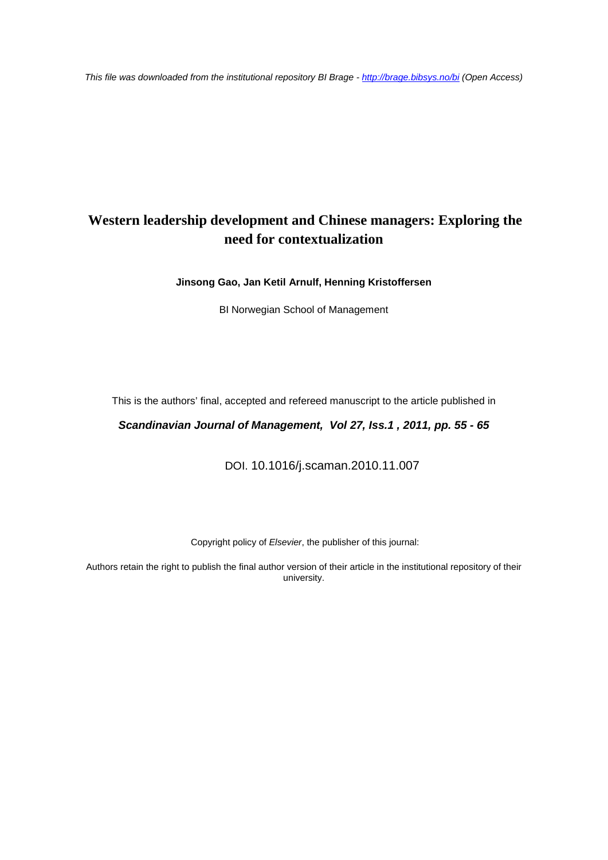*This file was downloaded from the institutional repository BI Brage - <http://brage.bibsys.no/bi> (Open Access)*

## **Western leadership development and Chinese managers: Exploring the need for contextualization**

**Jinsong Gao, Jan Ketil Arnulf, Henning Kristoffersen**

BI Norwegian School of Management

This is the authors' final, accepted and refereed manuscript to the article published in

*Scandinavian Journal of Management, Vol 27, Iss.1 , 2011, pp. 55 - 65*

DOI. 10.1016/j.scaman.2010.11.007

Copyright policy of *Elsevier*, the publisher of this journal:

Authors retain the right to publish the final author version of their article in the institutional repository of their university.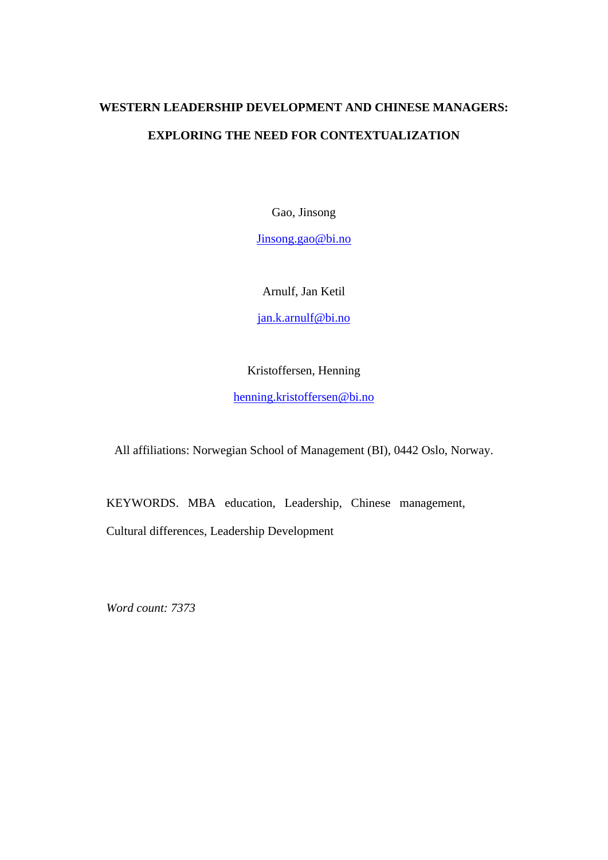# **WESTERN LEADERSHIP DEVELOPMENT AND CHINESE MANAGERS: EXPLORING THE NEED FOR CONTEXTUALIZATION**

Gao, Jinsong

Jinsong.gao@bi.no

Arnulf, Jan Ketil

jan.k.arnulf@bi.no

Kristoffersen, Henning

henning.kristoffersen@bi.no

All affiliations: Norwegian School of Management (BI), 0442 Oslo, Norway.

KEYWORDS. MBA education, Leadership, Chinese management,

Cultural differences, Leadership Development

*Word count: 7373*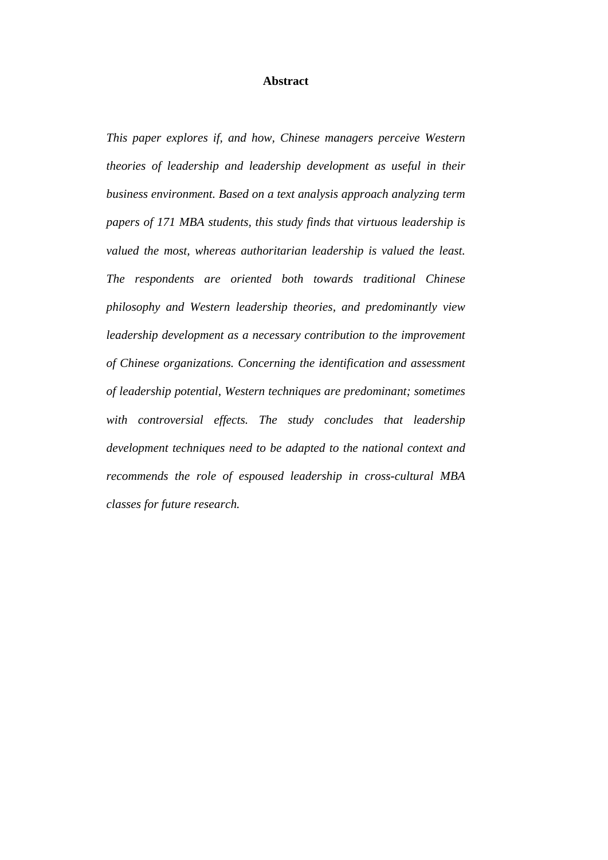### **Abstract**

*This paper explores if, and how, Chinese managers perceive Western theories of leadership and leadership development as useful in their business environment. Based on a text analysis approach analyzing term papers of 171 MBA students, this study finds that virtuous leadership is valued the most, whereas authoritarian leadership is valued the least. The respondents are oriented both towards traditional Chinese philosophy and Western leadership theories, and predominantly view leadership development as a necessary contribution to the improvement of Chinese organizations. Concerning the identification and assessment of leadership potential, Western techniques are predominant; sometimes*  with controversial effects. The study concludes that leadership *development techniques need to be adapted to the national context and recommends the role of espoused leadership in cross-cultural MBA classes for future research.*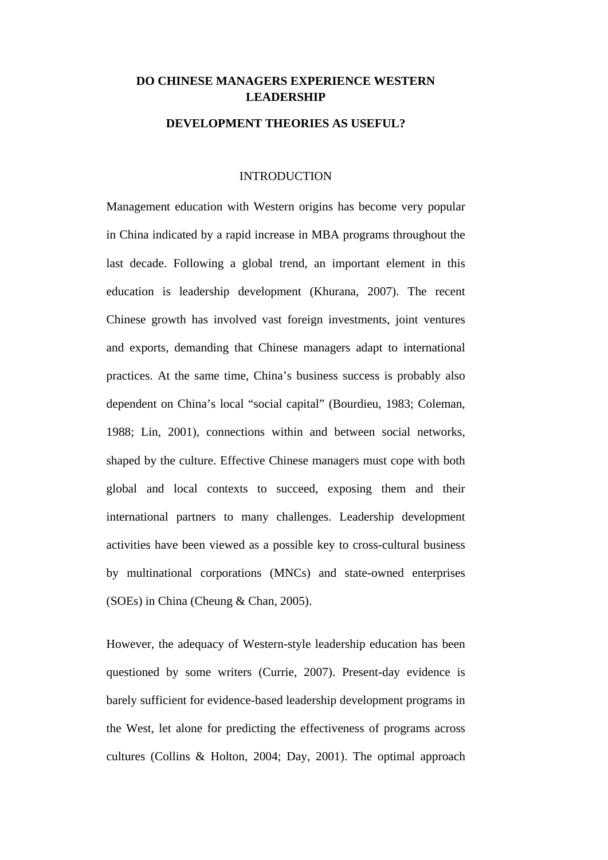### **DO CHINESE MANAGERS EXPERIENCE WESTERN LEADERSHIP**

### **DEVELOPMENT THEORIES AS USEFUL?**

### INTRODUCTION

Management education with Western origins has become very popular in China indicated by a rapid increase in MBA programs throughout the last decade. Following a global trend, an important element in this education is leadership development (Khurana, 2007). The recent Chinese growth has involved vast foreign investments, joint ventures and exports, demanding that Chinese managers adapt to international practices. At the same time, China's business success is probably also dependent on China's local "social capital" (Bourdieu, 1983; Coleman, 1988; Lin, 2001), connections within and between social networks, shaped by the culture. Effective Chinese managers must cope with both global and local contexts to succeed, exposing them and their international partners to many challenges. Leadership development activities have been viewed as a possible key to cross-cultural business by multinational corporations (MNCs) and state-owned enterprises (SOEs) in China (Cheung & Chan, 2005).

However, the adequacy of Western-style leadership education has been questioned by some writers (Currie, 2007). Present-day evidence is barely sufficient for evidence-based leadership development programs in the West, let alone for predicting the effectiveness of programs across cultures (Collins & Holton, 2004; Day, 2001). The optimal approach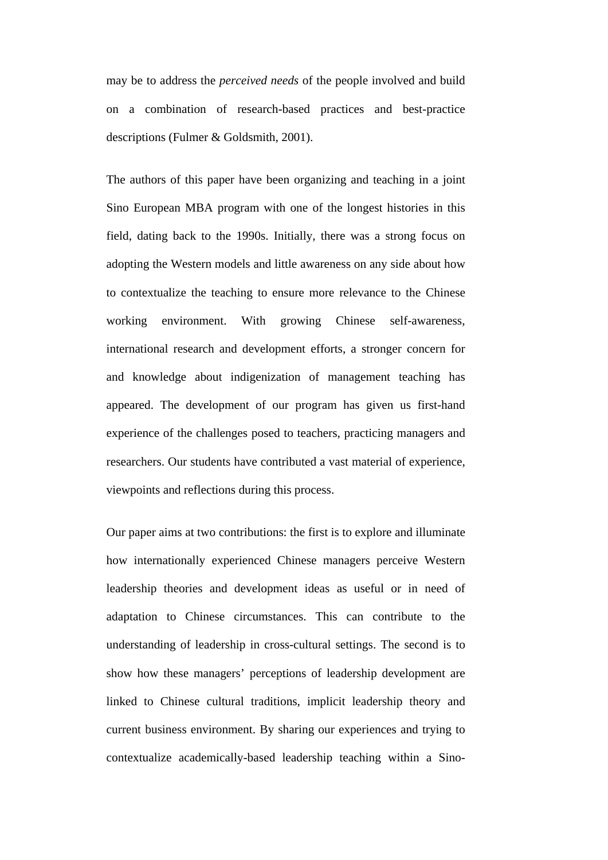may be to address the *perceived needs* of the people involved and build on a combination of research-based practices and best-practice descriptions (Fulmer & Goldsmith, 2001).

The authors of this paper have been organizing and teaching in a joint Sino European MBA program with one of the longest histories in this field, dating back to the 1990s. Initially, there was a strong focus on adopting the Western models and little awareness on any side about how to contextualize the teaching to ensure more relevance to the Chinese working environment. With growing Chinese self-awareness, international research and development efforts, a stronger concern for and knowledge about indigenization of management teaching has appeared. The development of our program has given us first-hand experience of the challenges posed to teachers, practicing managers and researchers. Our students have contributed a vast material of experience, viewpoints and reflections during this process.

Our paper aims at two contributions: the first is to explore and illuminate how internationally experienced Chinese managers perceive Western leadership theories and development ideas as useful or in need of adaptation to Chinese circumstances. This can contribute to the understanding of leadership in cross-cultural settings. The second is to show how these managers' perceptions of leadership development are linked to Chinese cultural traditions, implicit leadership theory and current business environment. By sharing our experiences and trying to contextualize academically-based leadership teaching within a Sino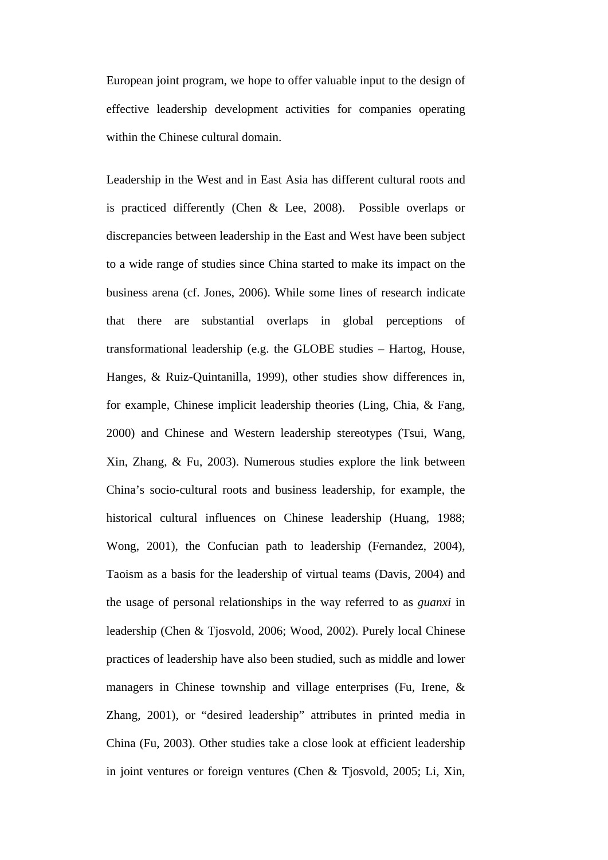European joint program, we hope to offer valuable input to the design of effective leadership development activities for companies operating within the Chinese cultural domain.

Leadership in the West and in East Asia has different cultural roots and is practiced differently (Chen & Lee, 2008). Possible overlaps or discrepancies between leadership in the East and West have been subject to a wide range of studies since China started to make its impact on the business arena (cf. Jones, 2006). While some lines of research indicate that there are substantial overlaps in global perceptions of transformational leadership (e.g. the GLOBE studies – Hartog, House, Hanges, & Ruiz-Quintanilla, 1999), other studies show differences in, for example, Chinese implicit leadership theories (Ling, Chia, & Fang, 2000) and Chinese and Western leadership stereotypes (Tsui, Wang, Xin, Zhang, & Fu, 2003). Numerous studies explore the link between China's socio-cultural roots and business leadership, for example, the historical cultural influences on Chinese leadership (Huang, 1988; Wong, 2001), the Confucian path to leadership (Fernandez, 2004), Taoism as a basis for the leadership of virtual teams (Davis, 2004) and the usage of personal relationships in the way referred to as *guanxi* in leadership (Chen & Tjosvold, 2006; Wood, 2002). Purely local Chinese practices of leadership have also been studied, such as middle and lower managers in Chinese township and village enterprises (Fu, Irene, & Zhang, 2001), or "desired leadership" attributes in printed media in China (Fu, 2003). Other studies take a close look at efficient leadership in joint ventures or foreign ventures (Chen & Tjosvold, 2005; Li, Xin,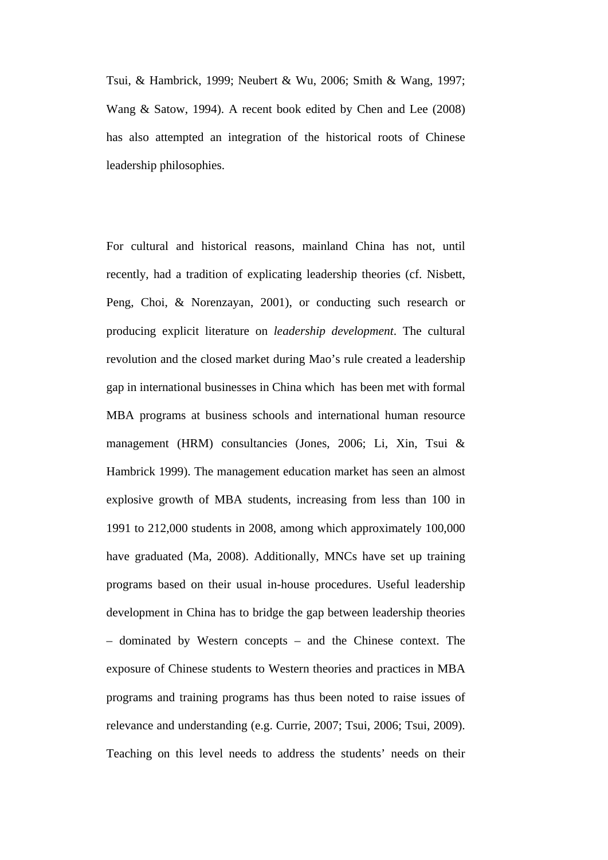Tsui, & Hambrick, 1999; Neubert & Wu, 2006; Smith & Wang, 1997; Wang & Satow, 1994). A recent book edited by Chen and Lee (2008) has also attempted an integration of the historical roots of Chinese leadership philosophies.

For cultural and historical reasons, mainland China has not, until recently, had a tradition of explicating leadership theories (cf. Nisbett, Peng, Choi, & Norenzayan, 2001), or conducting such research or producing explicit literature on *leadership development*. The cultural revolution and the closed market during Mao's rule created a leadership gap in international businesses in China which has been met with formal MBA programs at business schools and international human resource management (HRM) consultancies (Jones, 2006; Li, Xin, Tsui & Hambrick 1999). The management education market has seen an almost explosive growth of MBA students, increasing from less than 100 in 1991 to 212,000 students in 2008, among which approximately 100,000 have graduated (Ma, 2008). Additionally, MNCs have set up training programs based on their usual in-house procedures. Useful leadership development in China has to bridge the gap between leadership theories – dominated by Western concepts – and the Chinese context. The exposure of Chinese students to Western theories and practices in MBA programs and training programs has thus been noted to raise issues of relevance and understanding (e.g. Currie, 2007; Tsui, 2006; Tsui, 2009). Teaching on this level needs to address the students' needs on their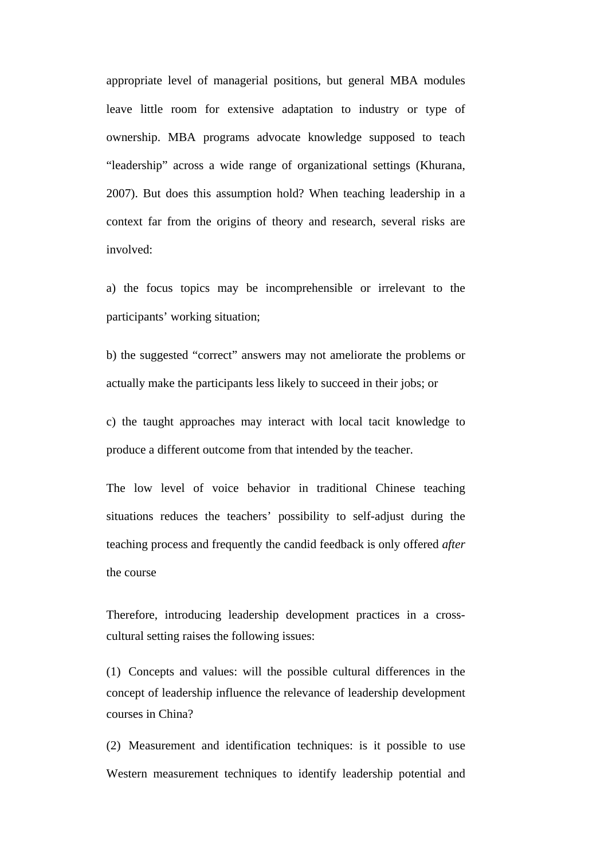appropriate level of managerial positions, but general MBA modules leave little room for extensive adaptation to industry or type of ownership. MBA programs advocate knowledge supposed to teach "leadership" across a wide range of organizational settings (Khurana, 2007). But does this assumption hold? When teaching leadership in a context far from the origins of theory and research, several risks are involved:

a) the focus topics may be incomprehensible or irrelevant to the participants' working situation;

b) the suggested "correct" answers may not ameliorate the problems or actually make the participants less likely to succeed in their jobs; or

c) the taught approaches may interact with local tacit knowledge to produce a different outcome from that intended by the teacher.

The low level of voice behavior in traditional Chinese teaching situations reduces the teachers' possibility to self-adjust during the teaching process and frequently the candid feedback is only offered *after* the course

Therefore, introducing leadership development practices in a crosscultural setting raises the following issues:

(1) Concepts and values: will the possible cultural differences in the concept of leadership influence the relevance of leadership development courses in China?

(2) Measurement and identification techniques: is it possible to use Western measurement techniques to identify leadership potential and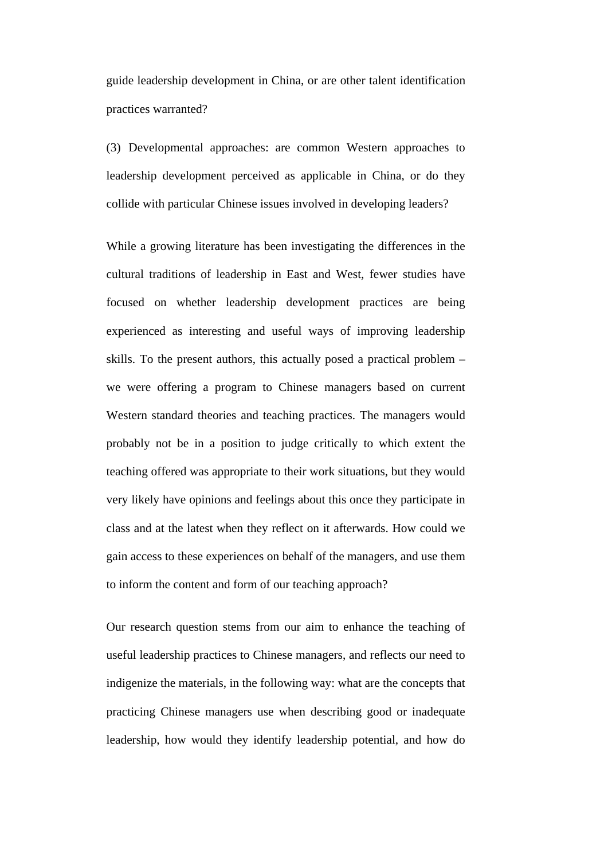guide leadership development in China, or are other talent identification practices warranted?

(3) Developmental approaches: are common Western approaches to leadership development perceived as applicable in China, or do they collide with particular Chinese issues involved in developing leaders?

While a growing literature has been investigating the differences in the cultural traditions of leadership in East and West, fewer studies have focused on whether leadership development practices are being experienced as interesting and useful ways of improving leadership skills. To the present authors, this actually posed a practical problem – we were offering a program to Chinese managers based on current Western standard theories and teaching practices. The managers would probably not be in a position to judge critically to which extent the teaching offered was appropriate to their work situations, but they would very likely have opinions and feelings about this once they participate in class and at the latest when they reflect on it afterwards. How could we gain access to these experiences on behalf of the managers, and use them to inform the content and form of our teaching approach?

Our research question stems from our aim to enhance the teaching of useful leadership practices to Chinese managers, and reflects our need to indigenize the materials, in the following way: what are the concepts that practicing Chinese managers use when describing good or inadequate leadership, how would they identify leadership potential, and how do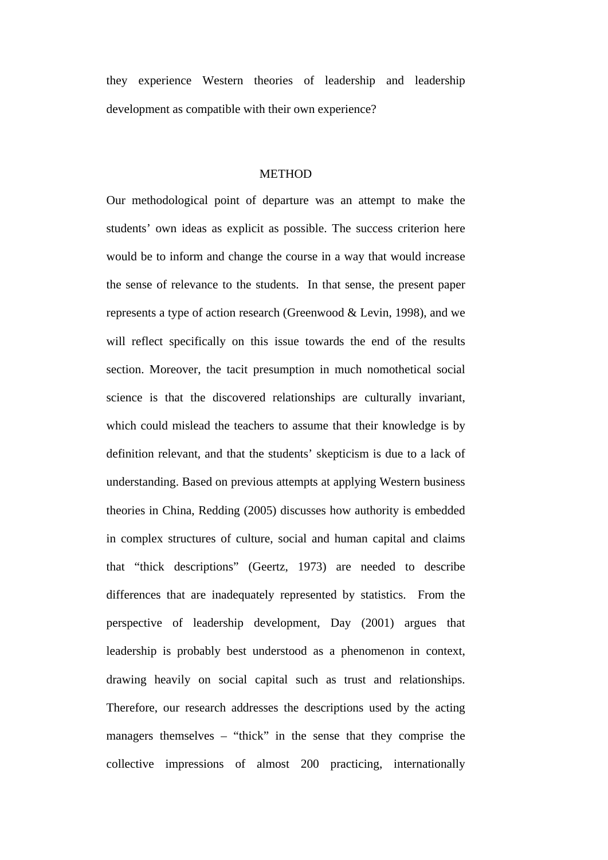they experience Western theories of leadership and leadership development as compatible with their own experience?

### **METHOD**

Our methodological point of departure was an attempt to make the students' own ideas as explicit as possible. The success criterion here would be to inform and change the course in a way that would increase the sense of relevance to the students. In that sense, the present paper represents a type of action research (Greenwood & Levin, 1998), and we will reflect specifically on this issue towards the end of the results section. Moreover, the tacit presumption in much nomothetical social science is that the discovered relationships are culturally invariant, which could mislead the teachers to assume that their knowledge is by definition relevant, and that the students' skepticism is due to a lack of understanding. Based on previous attempts at applying Western business theories in China, Redding (2005) discusses how authority is embedded in complex structures of culture, social and human capital and claims that "thick descriptions" (Geertz, 1973) are needed to describe differences that are inadequately represented by statistics. From the perspective of leadership development, Day (2001) argues that leadership is probably best understood as a phenomenon in context, drawing heavily on social capital such as trust and relationships. Therefore, our research addresses the descriptions used by the acting managers themselves – "thick" in the sense that they comprise the collective impressions of almost 200 practicing, internationally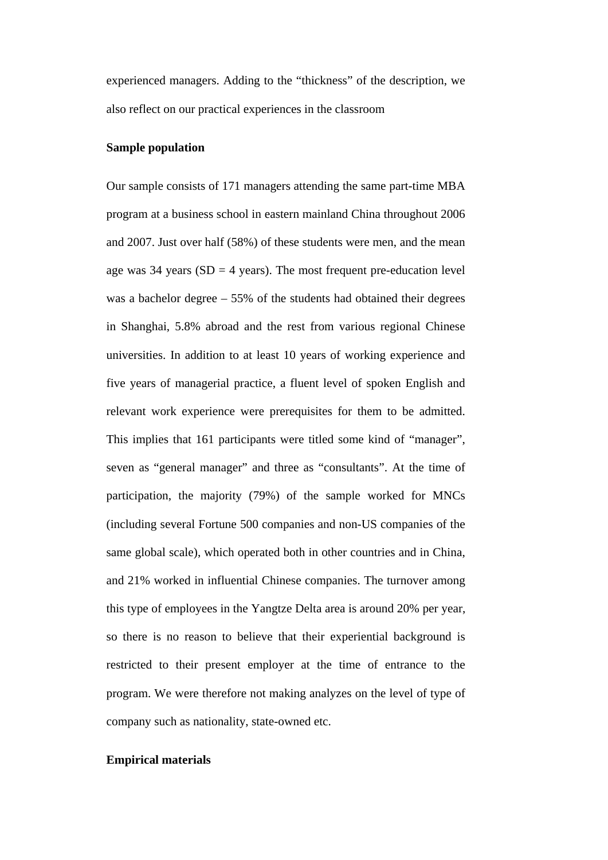experienced managers. Adding to the "thickness" of the description, we also reflect on our practical experiences in the classroom

### **Sample population**

Our sample consists of 171 managers attending the same part-time MBA program at a business school in eastern mainland China throughout 2006 and 2007. Just over half (58%) of these students were men, and the mean age was  $34$  years (SD = 4 years). The most frequent pre-education level was a bachelor degree – 55% of the students had obtained their degrees in Shanghai, 5.8% abroad and the rest from various regional Chinese universities. In addition to at least 10 years of working experience and five years of managerial practice, a fluent level of spoken English and relevant work experience were prerequisites for them to be admitted. This implies that 161 participants were titled some kind of "manager", seven as "general manager" and three as "consultants". At the time of participation, the majority (79%) of the sample worked for MNCs (including several Fortune 500 companies and non-US companies of the same global scale), which operated both in other countries and in China, and 21% worked in influential Chinese companies. The turnover among this type of employees in the Yangtze Delta area is around 20% per year, so there is no reason to believe that their experiential background is restricted to their present employer at the time of entrance to the program. We were therefore not making analyzes on the level of type of company such as nationality, state-owned etc.

### **Empirical materials**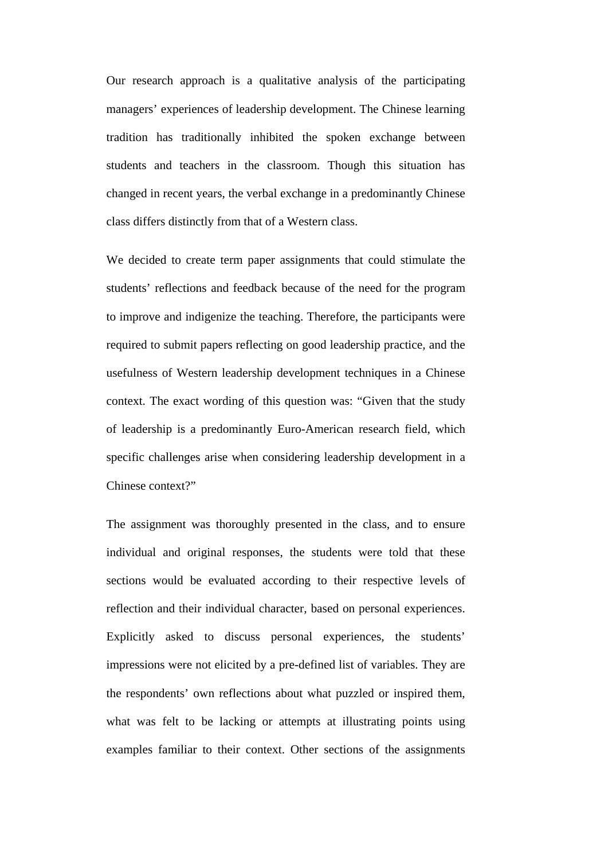Our research approach is a qualitative analysis of the participating managers' experiences of leadership development. The Chinese learning tradition has traditionally inhibited the spoken exchange between students and teachers in the classroom. Though this situation has changed in recent years, the verbal exchange in a predominantly Chinese class differs distinctly from that of a Western class.

We decided to create term paper assignments that could stimulate the students' reflections and feedback because of the need for the program to improve and indigenize the teaching. Therefore, the participants were required to submit papers reflecting on good leadership practice, and the usefulness of Western leadership development techniques in a Chinese context. The exact wording of this question was: "Given that the study of leadership is a predominantly Euro-American research field, which specific challenges arise when considering leadership development in a Chinese context?"

The assignment was thoroughly presented in the class, and to ensure individual and original responses, the students were told that these sections would be evaluated according to their respective levels of reflection and their individual character, based on personal experiences. Explicitly asked to discuss personal experiences, the students' impressions were not elicited by a pre-defined list of variables. They are the respondents' own reflections about what puzzled or inspired them, what was felt to be lacking or attempts at illustrating points using examples familiar to their context. Other sections of the assignments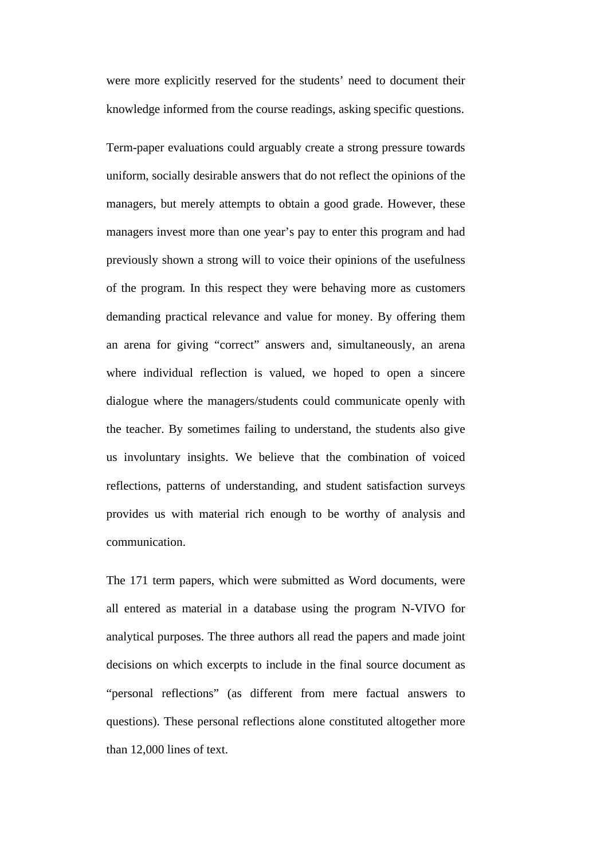were more explicitly reserved for the students' need to document their knowledge informed from the course readings, asking specific questions.

Term-paper evaluations could arguably create a strong pressure towards uniform, socially desirable answers that do not reflect the opinions of the managers, but merely attempts to obtain a good grade. However, these managers invest more than one year's pay to enter this program and had previously shown a strong will to voice their opinions of the usefulness of the program. In this respect they were behaving more as customers demanding practical relevance and value for money. By offering them an arena for giving "correct" answers and, simultaneously, an arena where individual reflection is valued, we hoped to open a sincere dialogue where the managers/students could communicate openly with the teacher. By sometimes failing to understand, the students also give us involuntary insights. We believe that the combination of voiced reflections, patterns of understanding, and student satisfaction surveys provides us with material rich enough to be worthy of analysis and communication.

The 171 term papers, which were submitted as Word documents, were all entered as material in a database using the program N-VIVO for analytical purposes. The three authors all read the papers and made joint decisions on which excerpts to include in the final source document as "personal reflections" (as different from mere factual answers to questions). These personal reflections alone constituted altogether more than 12,000 lines of text.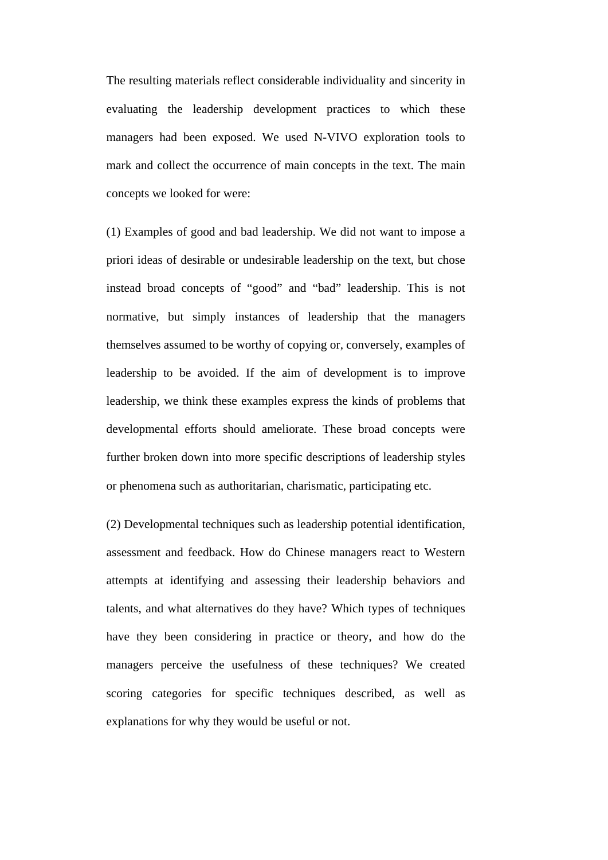The resulting materials reflect considerable individuality and sincerity in evaluating the leadership development practices to which these managers had been exposed. We used N-VIVO exploration tools to mark and collect the occurrence of main concepts in the text. The main concepts we looked for were:

(1) Examples of good and bad leadership. We did not want to impose a priori ideas of desirable or undesirable leadership on the text, but chose instead broad concepts of "good" and "bad" leadership. This is not normative, but simply instances of leadership that the managers themselves assumed to be worthy of copying or, conversely, examples of leadership to be avoided. If the aim of development is to improve leadership, we think these examples express the kinds of problems that developmental efforts should ameliorate. These broad concepts were further broken down into more specific descriptions of leadership styles or phenomena such as authoritarian, charismatic, participating etc.

(2) Developmental techniques such as leadership potential identification, assessment and feedback. How do Chinese managers react to Western attempts at identifying and assessing their leadership behaviors and talents, and what alternatives do they have? Which types of techniques have they been considering in practice or theory, and how do the managers perceive the usefulness of these techniques? We created scoring categories for specific techniques described, as well as explanations for why they would be useful or not.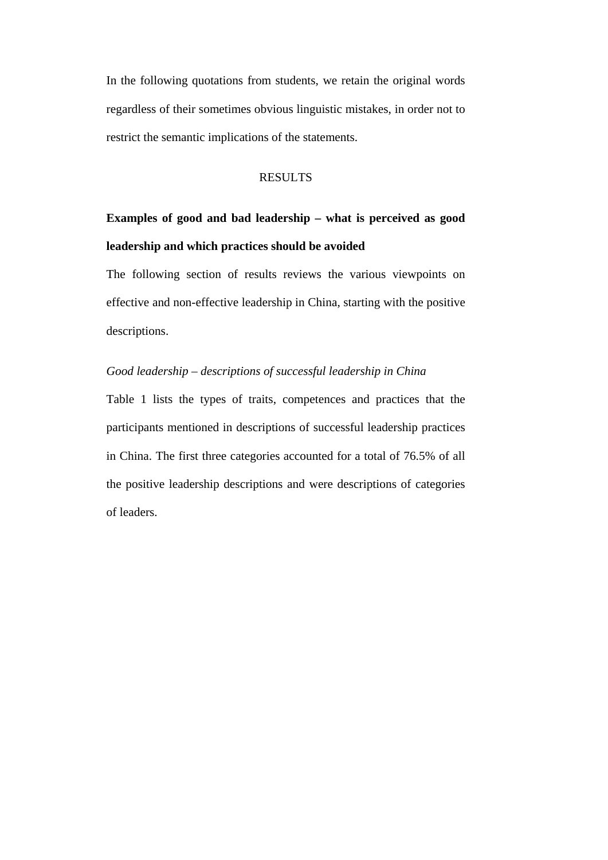In the following quotations from students, we retain the original words regardless of their sometimes obvious linguistic mistakes, in order not to restrict the semantic implications of the statements.

### RESULTS

# **Examples of good and bad leadership – what is perceived as good leadership and which practices should be avoided**

The following section of results reviews the various viewpoints on effective and non-effective leadership in China, starting with the positive descriptions.

### *Good leadership – descriptions of successful leadership in China*

Table 1 lists the types of traits, competences and practices that the participants mentioned in descriptions of successful leadership practices in China. The first three categories accounted for a total of 76.5% of all the positive leadership descriptions and were descriptions of categories of leaders.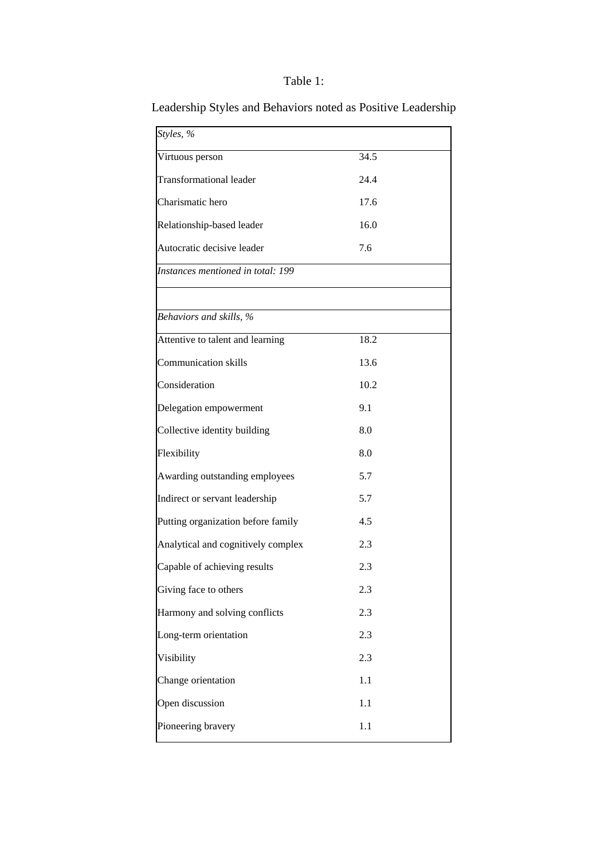### Table 1:

| Styles, %                          |      |
|------------------------------------|------|
| Virtuous person                    | 34.5 |
| <b>Transformational leader</b>     | 24.4 |
| Charismatic hero                   | 17.6 |
| Relationship-based leader          | 16.0 |
| Autocratic decisive leader         | 7.6  |
| Instances mentioned in total: 199  |      |
|                                    |      |
| Behaviors and skills, %            |      |
| Attentive to talent and learning   | 18.2 |
| <b>Communication skills</b>        | 13.6 |
| Consideration                      | 10.2 |
| Delegation empowerment             | 9.1  |
| Collective identity building       | 8.0  |
| Flexibility                        | 8.0  |
| Awarding outstanding employees     | 5.7  |
| Indirect or servant leadership     | 5.7  |
| Putting organization before family | 4.5  |
| Analytical and cognitively complex | 2.3  |
| Capable of achieving results       | 2.3  |
| Giving face to others              | 2.3  |
| Harmony and solving conflicts      | 2.3  |
| Long-term orientation              | 2.3  |
| Visibility                         | 2.3  |
| Change orientation                 | 1.1  |
| Open discussion                    | 1.1  |
| Pioneering bravery                 | 1.1  |

Leadership Styles and Behaviors noted as Positive Leadership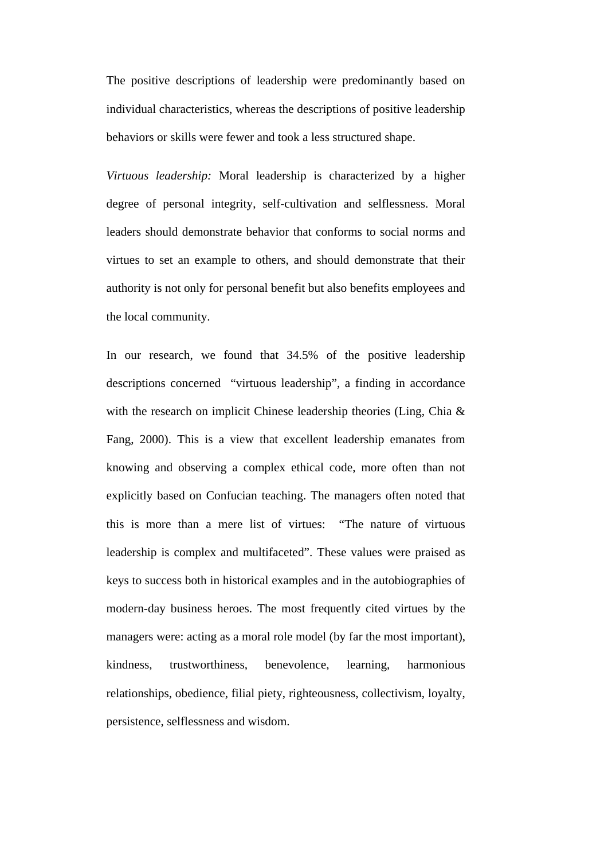The positive descriptions of leadership were predominantly based on individual characteristics, whereas the descriptions of positive leadership behaviors or skills were fewer and took a less structured shape.

*Virtuous leadership:* Moral leadership is characterized by a higher degree of personal integrity, self-cultivation and selflessness. Moral leaders should demonstrate behavior that conforms to social norms and virtues to set an example to others, and should demonstrate that their authority is not only for personal benefit but also benefits employees and the local community.

In our research, we found that 34.5% of the positive leadership descriptions concerned "virtuous leadership", a finding in accordance with the research on implicit Chinese leadership theories (Ling, Chia & Fang, 2000). This is a view that excellent leadership emanates from knowing and observing a complex ethical code, more often than not explicitly based on Confucian teaching. The managers often noted that this is more than a mere list of virtues: "The nature of virtuous leadership is complex and multifaceted". These values were praised as keys to success both in historical examples and in the autobiographies of modern-day business heroes. The most frequently cited virtues by the managers were: acting as a moral role model (by far the most important), kindness, trustworthiness, benevolence, learning, harmonious relationships, obedience, filial piety, righteousness, collectivism, loyalty, persistence, selflessness and wisdom.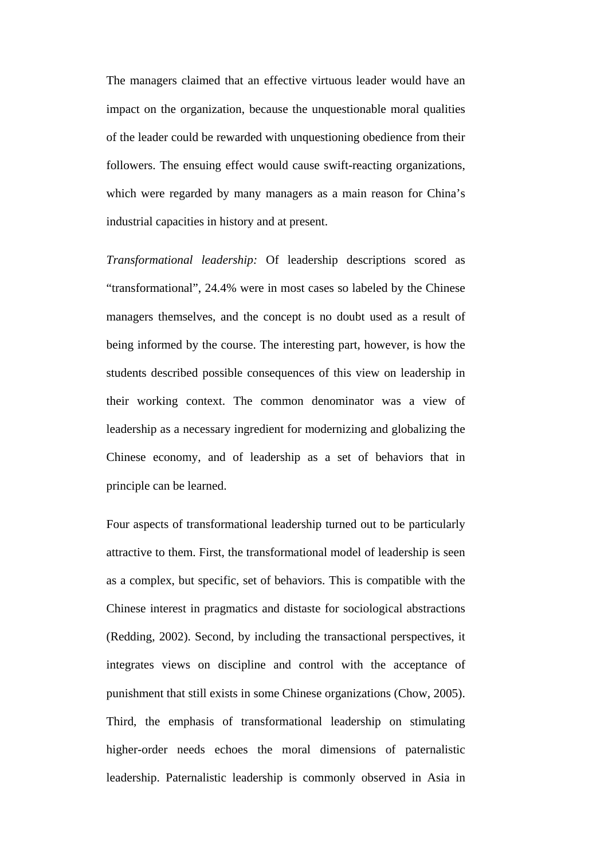The managers claimed that an effective virtuous leader would have an impact on the organization, because the unquestionable moral qualities of the leader could be rewarded with unquestioning obedience from their followers. The ensuing effect would cause swift-reacting organizations, which were regarded by many managers as a main reason for China's industrial capacities in history and at present.

*Transformational leadership:* Of leadership descriptions scored as "transformational", 24.4% were in most cases so labeled by the Chinese managers themselves, and the concept is no doubt used as a result of being informed by the course. The interesting part, however, is how the students described possible consequences of this view on leadership in their working context. The common denominator was a view of leadership as a necessary ingredient for modernizing and globalizing the Chinese economy, and of leadership as a set of behaviors that in principle can be learned.

Four aspects of transformational leadership turned out to be particularly attractive to them. First, the transformational model of leadership is seen as a complex, but specific, set of behaviors. This is compatible with the Chinese interest in pragmatics and distaste for sociological abstractions (Redding, 2002). Second, by including the transactional perspectives, it integrates views on discipline and control with the acceptance of punishment that still exists in some Chinese organizations (Chow, 2005). Third, the emphasis of transformational leadership on stimulating higher-order needs echoes the moral dimensions of paternalistic leadership. Paternalistic leadership is commonly observed in Asia in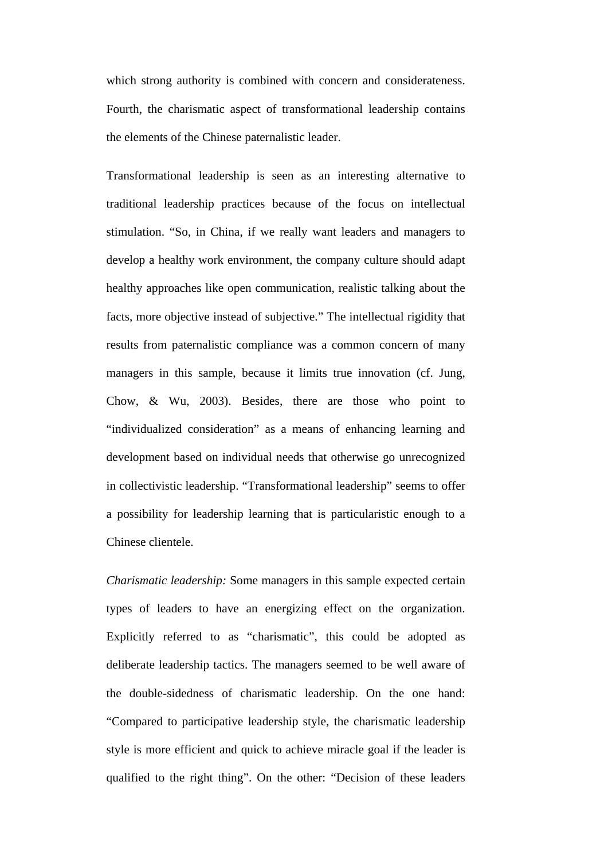which strong authority is combined with concern and considerateness. Fourth, the charismatic aspect of transformational leadership contains the elements of the Chinese paternalistic leader.

Transformational leadership is seen as an interesting alternative to traditional leadership practices because of the focus on intellectual stimulation. "So, in China, if we really want leaders and managers to develop a healthy work environment, the company culture should adapt healthy approaches like open communication, realistic talking about the facts, more objective instead of subjective." The intellectual rigidity that results from paternalistic compliance was a common concern of many managers in this sample, because it limits true innovation (cf. Jung, Chow, & Wu, 2003). Besides, there are those who point to "individualized consideration" as a means of enhancing learning and development based on individual needs that otherwise go unrecognized in collectivistic leadership. "Transformational leadership" seems to offer a possibility for leadership learning that is particularistic enough to a Chinese clientele.

*Charismatic leadership:* Some managers in this sample expected certain types of leaders to have an energizing effect on the organization. Explicitly referred to as "charismatic", this could be adopted as deliberate leadership tactics. The managers seemed to be well aware of the double-sidedness of charismatic leadership. On the one hand: "Compared to participative leadership style, the charismatic leadership style is more efficient and quick to achieve miracle goal if the leader is qualified to the right thing". On the other: "Decision of these leaders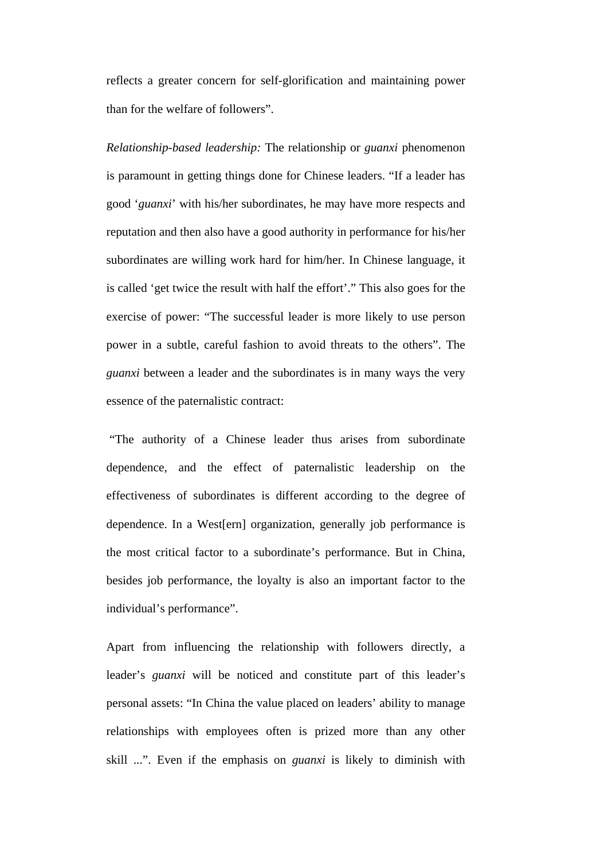reflects a greater concern for self-glorification and maintaining power than for the welfare of followers".

*Relationship-based leadership:* The relationship or *guanxi* phenomenon is paramount in getting things done for Chinese leaders. "If a leader has good '*guanxi*' with his/her subordinates, he may have more respects and reputation and then also have a good authority in performance for his/her subordinates are willing work hard for him/her. In Chinese language, it is called 'get twice the result with half the effort'." This also goes for the exercise of power: "The successful leader is more likely to use person power in a subtle, careful fashion to avoid threats to the others". The *guanxi* between a leader and the subordinates is in many ways the very essence of the paternalistic contract:

 "The authority of a Chinese leader thus arises from subordinate dependence, and the effect of paternalistic leadership on the effectiveness of subordinates is different according to the degree of dependence. In a West[ern] organization, generally job performance is the most critical factor to a subordinate's performance. But in China, besides job performance, the loyalty is also an important factor to the individual's performance".

Apart from influencing the relationship with followers directly, a leader's *guanxi* will be noticed and constitute part of this leader's personal assets: "In China the value placed on leaders' ability to manage relationships with employees often is prized more than any other skill ...". Even if the emphasis on *guanxi* is likely to diminish with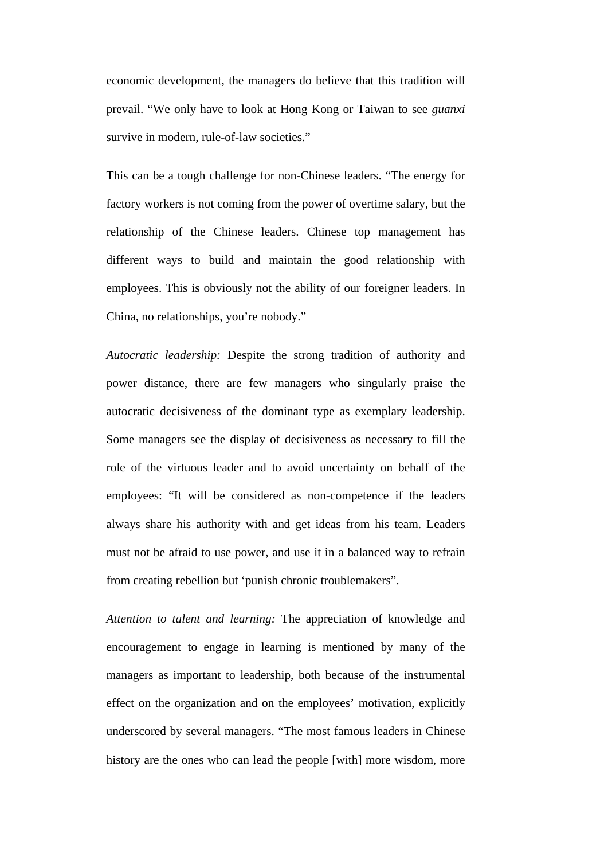economic development, the managers do believe that this tradition will prevail. "We only have to look at Hong Kong or Taiwan to see *guanxi* survive in modern, rule-of-law societies."

This can be a tough challenge for non-Chinese leaders. "The energy for factory workers is not coming from the power of overtime salary, but the relationship of the Chinese leaders. Chinese top management has different ways to build and maintain the good relationship with employees. This is obviously not the ability of our foreigner leaders. In China, no relationships, you're nobody."

*Autocratic leadership:* Despite the strong tradition of authority and power distance, there are few managers who singularly praise the autocratic decisiveness of the dominant type as exemplary leadership. Some managers see the display of decisiveness as necessary to fill the role of the virtuous leader and to avoid uncertainty on behalf of the employees: "It will be considered as non-competence if the leaders always share his authority with and get ideas from his team. Leaders must not be afraid to use power, and use it in a balanced way to refrain from creating rebellion but 'punish chronic troublemakers".

*Attention to talent and learning:* The appreciation of knowledge and encouragement to engage in learning is mentioned by many of the managers as important to leadership, both because of the instrumental effect on the organization and on the employees' motivation, explicitly underscored by several managers. "The most famous leaders in Chinese history are the ones who can lead the people [with] more wisdom, more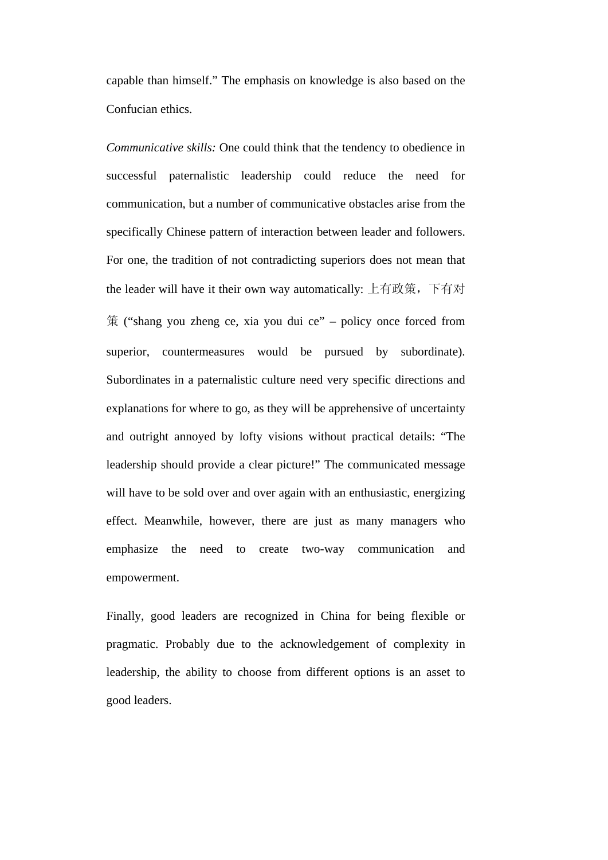capable than himself." The emphasis on knowledge is also based on the Confucian ethics.

*Communicative skills:* One could think that the tendency to obedience in successful paternalistic leadership could reduce the need for communication, but a number of communicative obstacles arise from the specifically Chinese pattern of interaction between leader and followers. For one, the tradition of not contradicting superiors does not mean that the leader will have it their own way automatically: 上有政策,下有对 策 ("shang you zheng ce, xia you dui ce" – policy once forced from superior, countermeasures would be pursued by subordinate). Subordinates in a paternalistic culture need very specific directions and explanations for where to go, as they will be apprehensive of uncertainty and outright annoyed by lofty visions without practical details: "The leadership should provide a clear picture!" The communicated message will have to be sold over and over again with an enthusiastic, energizing effect. Meanwhile, however, there are just as many managers who emphasize the need to create two-way communication and empowerment.

Finally, good leaders are recognized in China for being flexible or pragmatic. Probably due to the acknowledgement of complexity in leadership, the ability to choose from different options is an asset to good leaders.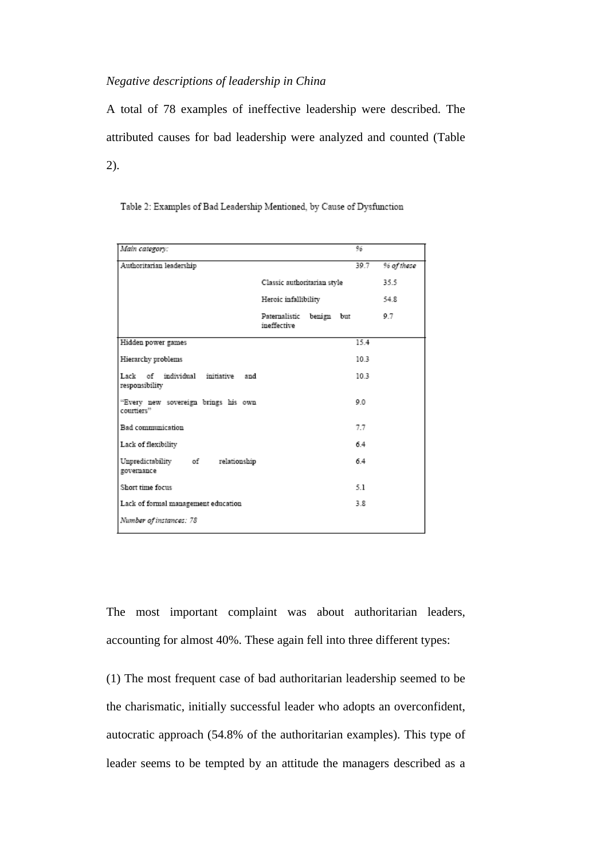### *Negative descriptions of leadership in China*

A total of 78 examples of ineffective leadership were described. The attributed causes for bad leadership were analyzed and counted (Table 2).

| Main category:                                      |                                         |  |  | 96              |            |
|-----------------------------------------------------|-----------------------------------------|--|--|-----------------|------------|
| Authoritarian leadership                            |                                         |  |  | 39.7            | % of these |
|                                                     | Classic authoritarian style             |  |  |                 | 35.5       |
|                                                     | Heroic infallibility                    |  |  |                 | 54.8       |
|                                                     | Paternalistic benign but<br>ineffective |  |  |                 | 9.7        |
| Hidden power games                                  |                                         |  |  | 15.4            |            |
| Hierarchy problems                                  |                                         |  |  | 10.3            |            |
| Lack of individual initiative and<br>responsibility |                                         |  |  | 10 <sub>3</sub> |            |
| "Every new sovereign brings his own<br>courtiers"   |                                         |  |  | 0.0             |            |
| Bad communication                                   |                                         |  |  | 7.7             |            |
| Lack of flexibility                                 |                                         |  |  | 64              |            |
| Unpredictability of relationship<br>governance      |                                         |  |  | 64              |            |
| Short time focus                                    |                                         |  |  | 5.1             |            |
| Lack of formal management education                 |                                         |  |  | 38              |            |
| Number of instances: 78                             |                                         |  |  |                 |            |

Table 2: Examples of Bad Leadership Mentioned, by Cause of Dysfunction

The most important complaint was about authoritarian leaders, accounting for almost 40%. These again fell into three different types:

(1) The most frequent case of bad authoritarian leadership seemed to be the charismatic, initially successful leader who adopts an overconfident, autocratic approach (54.8% of the authoritarian examples). This type of leader seems to be tempted by an attitude the managers described as a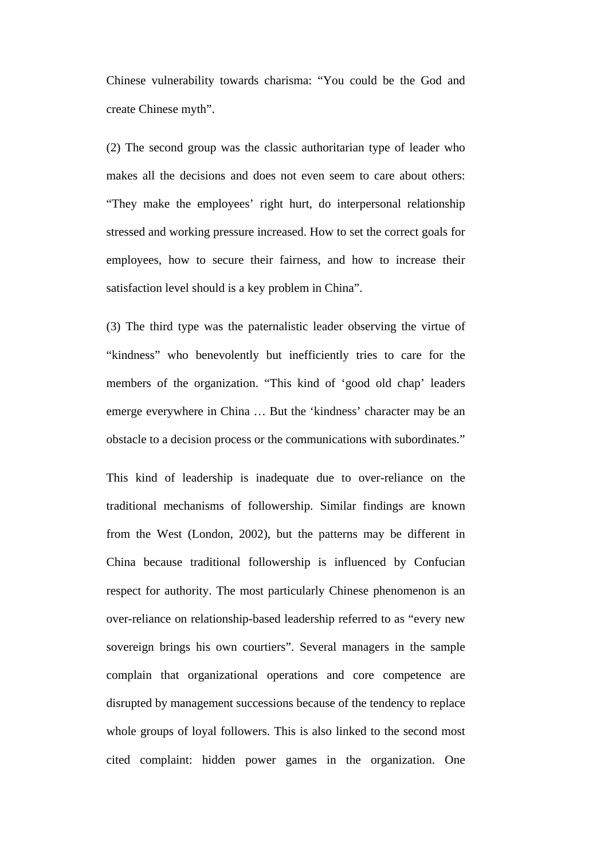Chinese vulnerability towards charisma: "You could be the God and create Chinese myth".

(2) The second group was the classic authoritarian type of leader who makes all the decisions and does not even seem to care about others: "They make the employees' right hurt, do interpersonal relationship stressed and working pressure increased. How to set the correct goals for employees, how to secure their fairness, and how to increase their satisfaction level should is a key problem in China".

(3) The third type was the paternalistic leader observing the virtue of "kindness" who benevolently but inefficiently tries to care for the members of the organization. "This kind of 'good old chap' leaders emerge everywhere in China … But the 'kindness' character may be an obstacle to a decision process or the communications with subordinates."

This kind of leadership is inadequate due to over-reliance on the traditional mechanisms of followership. Similar findings are known from the West (London, 2002), but the patterns may be different in China because traditional followership is influenced by Confucian respect for authority. The most particularly Chinese phenomenon is an over-reliance on relationship-based leadership referred to as "every new sovereign brings his own courtiers". Several managers in the sample complain that organizational operations and core competence are disrupted by management successions because of the tendency to replace whole groups of loyal followers. This is also linked to the second most cited complaint: hidden power games in the organization. One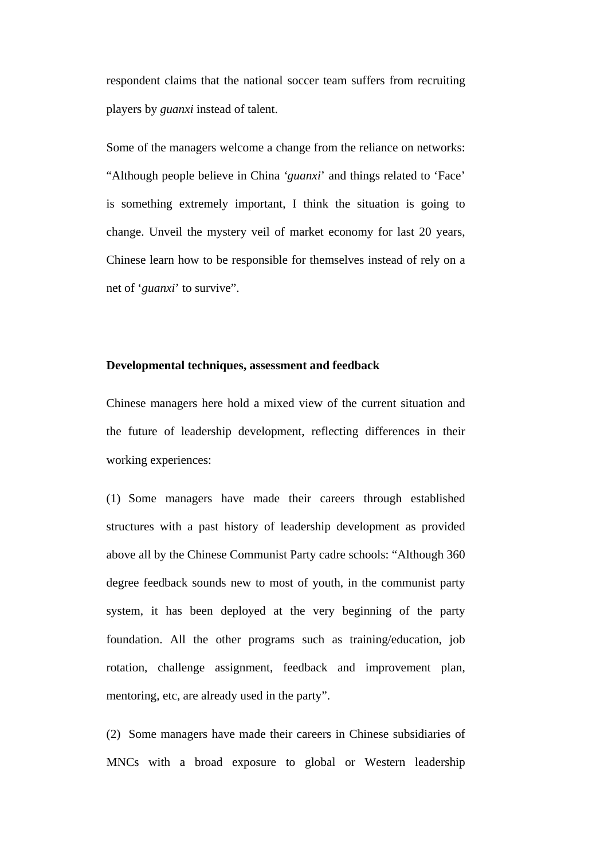respondent claims that the national soccer team suffers from recruiting players by *guanxi* instead of talent.

Some of the managers welcome a change from the reliance on networks: "Although people believe in China *'guanxi*' and things related to 'Face' is something extremely important, I think the situation is going to change. Unveil the mystery veil of market economy for last 20 years, Chinese learn how to be responsible for themselves instead of rely on a net of '*guanxi*' to survive".

### **Developmental techniques, assessment and feedback**

Chinese managers here hold a mixed view of the current situation and the future of leadership development, reflecting differences in their working experiences:

(1) Some managers have made their careers through established structures with a past history of leadership development as provided above all by the Chinese Communist Party cadre schools: "Although 360 degree feedback sounds new to most of youth, in the communist party system, it has been deployed at the very beginning of the party foundation. All the other programs such as training/education, job rotation, challenge assignment, feedback and improvement plan, mentoring, etc, are already used in the party".

(2) Some managers have made their careers in Chinese subsidiaries of MNCs with a broad exposure to global or Western leadership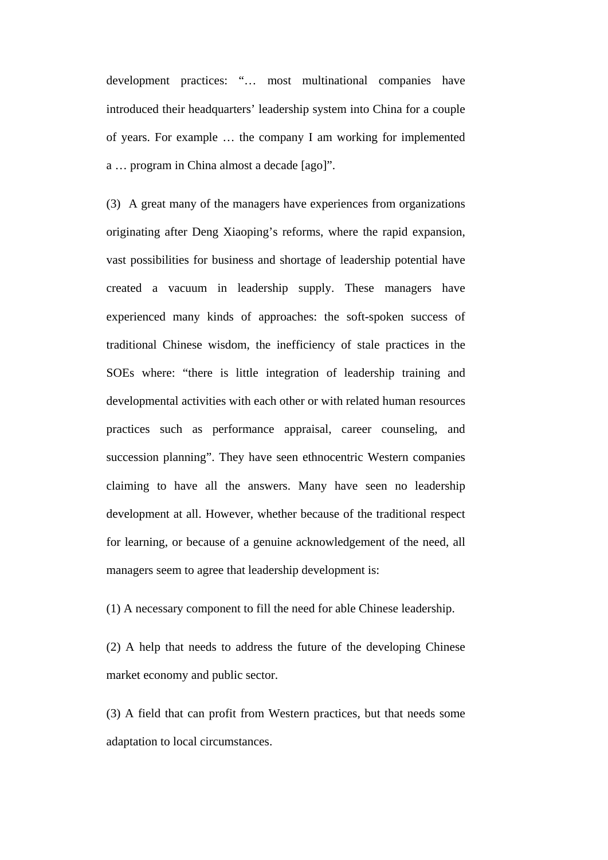development practices: "… most multinational companies have introduced their headquarters' leadership system into China for a couple of years. For example … the company I am working for implemented a … program in China almost a decade [ago]".

(3) A great many of the managers have experiences from organizations originating after Deng Xiaoping's reforms, where the rapid expansion, vast possibilities for business and shortage of leadership potential have created a vacuum in leadership supply. These managers have experienced many kinds of approaches: the soft-spoken success of traditional Chinese wisdom, the inefficiency of stale practices in the SOEs where: "there is little integration of leadership training and developmental activities with each other or with related human resources practices such as performance appraisal, career counseling, and succession planning". They have seen ethnocentric Western companies claiming to have all the answers. Many have seen no leadership development at all. However, whether because of the traditional respect for learning, or because of a genuine acknowledgement of the need, all managers seem to agree that leadership development is:

(1) A necessary component to fill the need for able Chinese leadership.

(2) A help that needs to address the future of the developing Chinese market economy and public sector.

(3) A field that can profit from Western practices, but that needs some adaptation to local circumstances.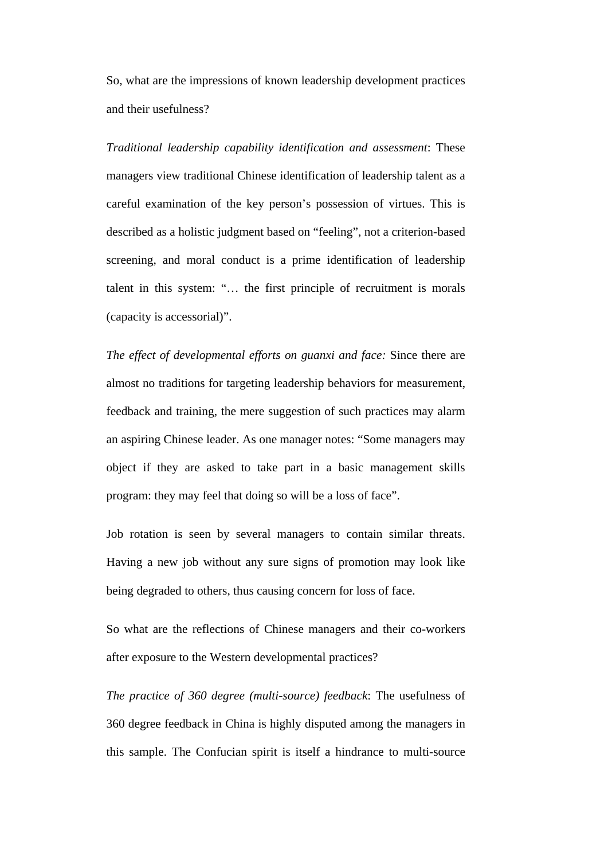So, what are the impressions of known leadership development practices and their usefulness?

*Traditional leadership capability identification and assessment*: These managers view traditional Chinese identification of leadership talent as a careful examination of the key person's possession of virtues. This is described as a holistic judgment based on "feeling", not a criterion-based screening, and moral conduct is a prime identification of leadership talent in this system: "… the first principle of recruitment is morals (capacity is accessorial)".

*The effect of developmental efforts on guanxi and face:* Since there are almost no traditions for targeting leadership behaviors for measurement, feedback and training, the mere suggestion of such practices may alarm an aspiring Chinese leader. As one manager notes: "Some managers may object if they are asked to take part in a basic management skills program: they may feel that doing so will be a loss of face".

Job rotation is seen by several managers to contain similar threats. Having a new job without any sure signs of promotion may look like being degraded to others, thus causing concern for loss of face.

So what are the reflections of Chinese managers and their co-workers after exposure to the Western developmental practices?

*The practice of 360 degree (multi-source) feedback*: The usefulness of 360 degree feedback in China is highly disputed among the managers in this sample. The Confucian spirit is itself a hindrance to multi-source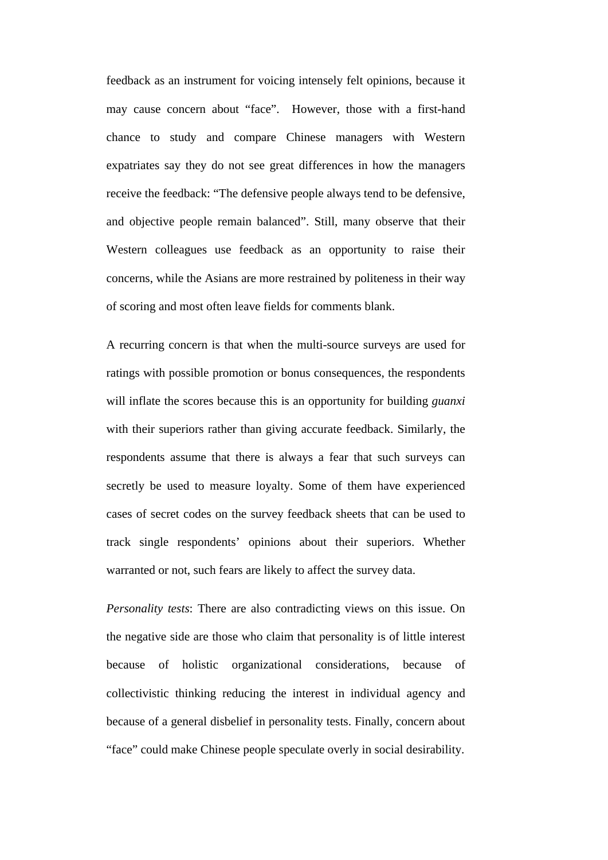feedback as an instrument for voicing intensely felt opinions, because it may cause concern about "face". However, those with a first-hand chance to study and compare Chinese managers with Western expatriates say they do not see great differences in how the managers receive the feedback: "The defensive people always tend to be defensive, and objective people remain balanced". Still, many observe that their Western colleagues use feedback as an opportunity to raise their concerns, while the Asians are more restrained by politeness in their way of scoring and most often leave fields for comments blank.

A recurring concern is that when the multi-source surveys are used for ratings with possible promotion or bonus consequences, the respondents will inflate the scores because this is an opportunity for building *guanxi* with their superiors rather than giving accurate feedback. Similarly, the respondents assume that there is always a fear that such surveys can secretly be used to measure loyalty. Some of them have experienced cases of secret codes on the survey feedback sheets that can be used to track single respondents' opinions about their superiors. Whether warranted or not, such fears are likely to affect the survey data.

*Personality tests*: There are also contradicting views on this issue. On the negative side are those who claim that personality is of little interest because of holistic organizational considerations, because of collectivistic thinking reducing the interest in individual agency and because of a general disbelief in personality tests. Finally, concern about "face" could make Chinese people speculate overly in social desirability.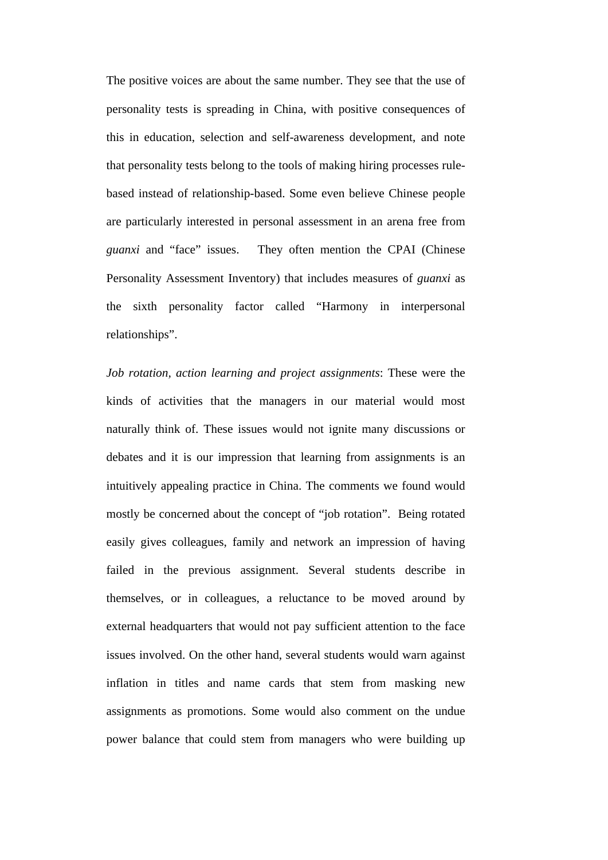The positive voices are about the same number. They see that the use of personality tests is spreading in China, with positive consequences of this in education, selection and self-awareness development, and note that personality tests belong to the tools of making hiring processes rulebased instead of relationship-based. Some even believe Chinese people are particularly interested in personal assessment in an arena free from *guanxi* and "face" issues. They often mention the CPAI (Chinese Personality Assessment Inventory) that includes measures of *guanxi* as the sixth personality factor called "Harmony in interpersonal relationships".

*Job rotation, action learning and project assignments*: These were the kinds of activities that the managers in our material would most naturally think of. These issues would not ignite many discussions or debates and it is our impression that learning from assignments is an intuitively appealing practice in China. The comments we found would mostly be concerned about the concept of "job rotation". Being rotated easily gives colleagues, family and network an impression of having failed in the previous assignment. Several students describe in themselves, or in colleagues, a reluctance to be moved around by external headquarters that would not pay sufficient attention to the face issues involved. On the other hand, several students would warn against inflation in titles and name cards that stem from masking new assignments as promotions. Some would also comment on the undue power balance that could stem from managers who were building up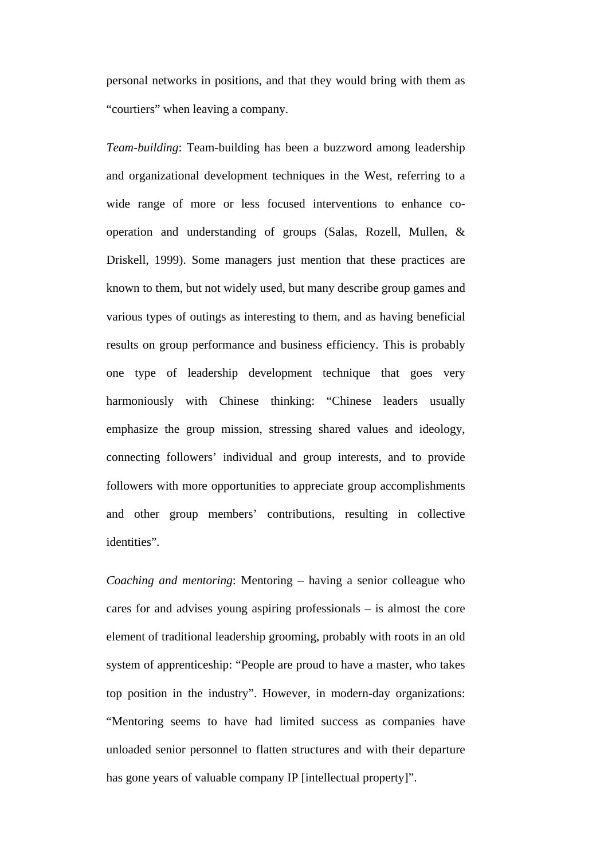personal networks in positions, and that they would bring with them as "courtiers" when leaving a company.

*Team-building*: Team-building has been a buzzword among leadership and organizational development techniques in the West, referring to a wide range of more or less focused interventions to enhance cooperation and understanding of groups (Salas, Rozell, Mullen, & Driskell, 1999). Some managers just mention that these practices are known to them, but not widely used, but many describe group games and various types of outings as interesting to them, and as having beneficial results on group performance and business efficiency. This is probably one type of leadership development technique that goes very harmoniously with Chinese thinking: "Chinese leaders usually emphasize the group mission, stressing shared values and ideology, connecting followers' individual and group interests, and to provide followers with more opportunities to appreciate group accomplishments and other group members' contributions, resulting in collective identities"*.*

*Coaching and mentoring*: Mentoring – having a senior colleague who cares for and advises young aspiring professionals – is almost the core element of traditional leadership grooming, probably with roots in an old system of apprenticeship: "People are proud to have a master, who takes top position in the industry". However, in modern-day organizations: "Mentoring seems to have had limited success as companies have unloaded senior personnel to flatten structures and with their departure has gone years of valuable company IP [intellectual property]".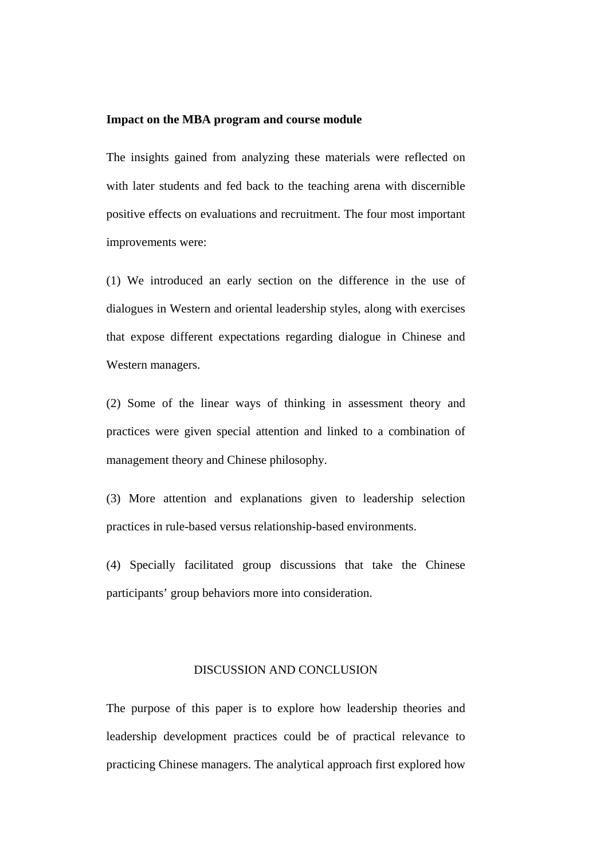#### **Impact on the MBA program and course module**

The insights gained from analyzing these materials were reflected on with later students and fed back to the teaching arena with discernible positive effects on evaluations and recruitment. The four most important improvements were:

(1) We introduced an early section on the difference in the use of dialogues in Western and oriental leadership styles, along with exercises that expose different expectations regarding dialogue in Chinese and Western managers.

(2) Some of the linear ways of thinking in assessment theory and practices were given special attention and linked to a combination of management theory and Chinese philosophy.

(3) More attention and explanations given to leadership selection practices in rule-based versus relationship-based environments.

(4) Specially facilitated group discussions that take the Chinese participants' group behaviors more into consideration.

### DISCUSSION AND CONCLUSION

The purpose of this paper is to explore how leadership theories and leadership development practices could be of practical relevance to practicing Chinese managers. The analytical approach first explored how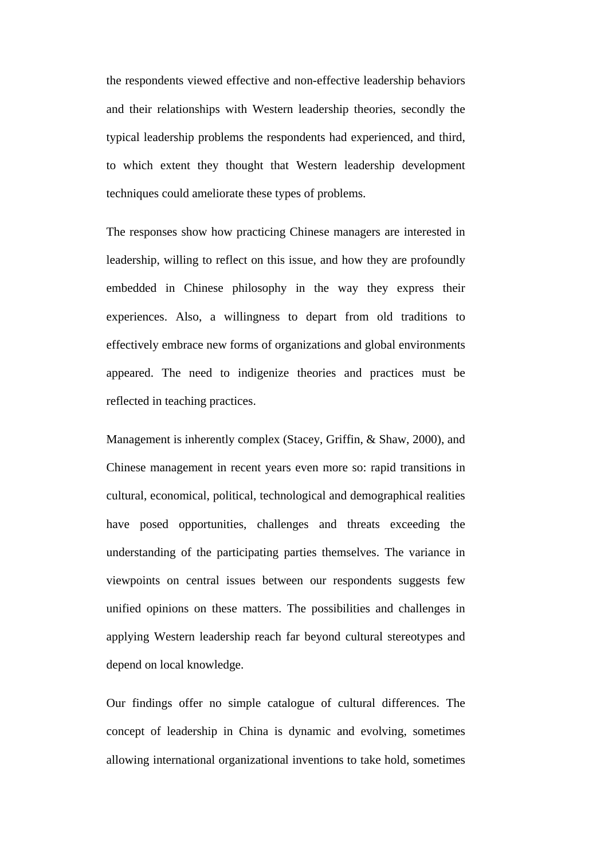the respondents viewed effective and non-effective leadership behaviors and their relationships with Western leadership theories, secondly the typical leadership problems the respondents had experienced, and third, to which extent they thought that Western leadership development techniques could ameliorate these types of problems.

The responses show how practicing Chinese managers are interested in leadership, willing to reflect on this issue, and how they are profoundly embedded in Chinese philosophy in the way they express their experiences. Also, a willingness to depart from old traditions to effectively embrace new forms of organizations and global environments appeared. The need to indigenize theories and practices must be reflected in teaching practices.

Management is inherently complex (Stacey, Griffin, & Shaw, 2000), and Chinese management in recent years even more so: rapid transitions in cultural, economical, political, technological and demographical realities have posed opportunities, challenges and threats exceeding the understanding of the participating parties themselves. The variance in viewpoints on central issues between our respondents suggests few unified opinions on these matters. The possibilities and challenges in applying Western leadership reach far beyond cultural stereotypes and depend on local knowledge.

Our findings offer no simple catalogue of cultural differences. The concept of leadership in China is dynamic and evolving, sometimes allowing international organizational inventions to take hold, sometimes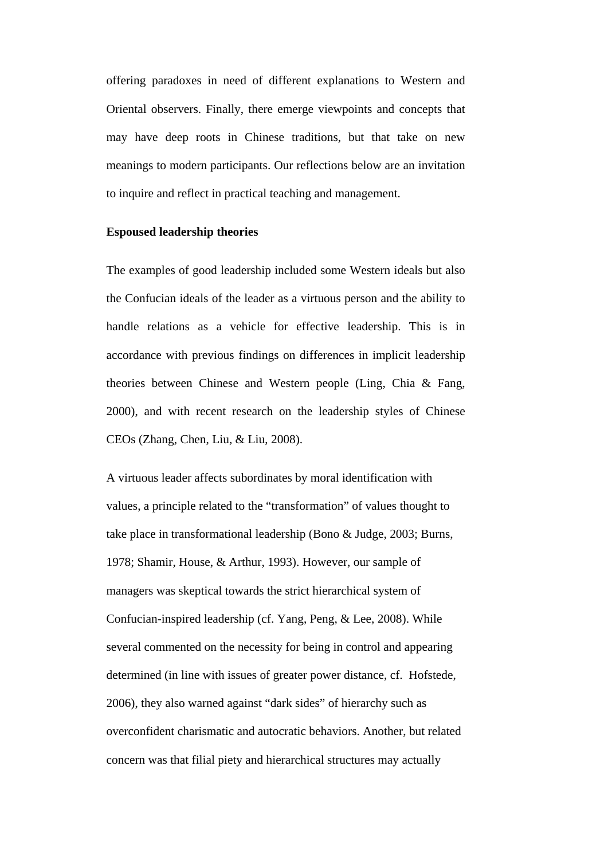offering paradoxes in need of different explanations to Western and Oriental observers. Finally, there emerge viewpoints and concepts that may have deep roots in Chinese traditions, but that take on new meanings to modern participants. Our reflections below are an invitation to inquire and reflect in practical teaching and management.

### **Espoused leadership theories**

The examples of good leadership included some Western ideals but also the Confucian ideals of the leader as a virtuous person and the ability to handle relations as a vehicle for effective leadership. This is in accordance with previous findings on differences in implicit leadership theories between Chinese and Western people (Ling, Chia & Fang, 2000), and with recent research on the leadership styles of Chinese CEOs (Zhang, Chen, Liu, & Liu, 2008).

A virtuous leader affects subordinates by moral identification with values, a principle related to the "transformation" of values thought to take place in transformational leadership (Bono & Judge, 2003; Burns, 1978; Shamir, House, & Arthur, 1993). However, our sample of managers was skeptical towards the strict hierarchical system of Confucian-inspired leadership (cf. Yang, Peng, & Lee, 2008). While several commented on the necessity for being in control and appearing determined (in line with issues of greater power distance, cf. Hofstede, 2006), they also warned against "dark sides" of hierarchy such as overconfident charismatic and autocratic behaviors. Another, but related concern was that filial piety and hierarchical structures may actually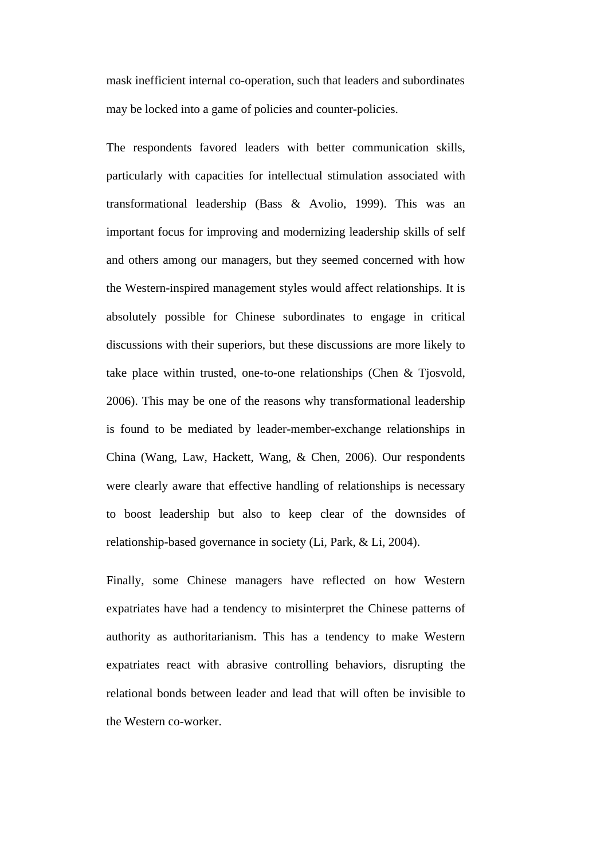mask inefficient internal co-operation, such that leaders and subordinates may be locked into a game of policies and counter-policies.

The respondents favored leaders with better communication skills, particularly with capacities for intellectual stimulation associated with transformational leadership (Bass & Avolio, 1999). This was an important focus for improving and modernizing leadership skills of self and others among our managers, but they seemed concerned with how the Western-inspired management styles would affect relationships. It is absolutely possible for Chinese subordinates to engage in critical discussions with their superiors, but these discussions are more likely to take place within trusted, one-to-one relationships (Chen & Tjosvold, 2006). This may be one of the reasons why transformational leadership is found to be mediated by leader-member-exchange relationships in China (Wang, Law, Hackett, Wang, & Chen, 2006). Our respondents were clearly aware that effective handling of relationships is necessary to boost leadership but also to keep clear of the downsides of relationship-based governance in society (Li, Park, & Li, 2004).

Finally, some Chinese managers have reflected on how Western expatriates have had a tendency to misinterpret the Chinese patterns of authority as authoritarianism. This has a tendency to make Western expatriates react with abrasive controlling behaviors, disrupting the relational bonds between leader and lead that will often be invisible to the Western co-worker.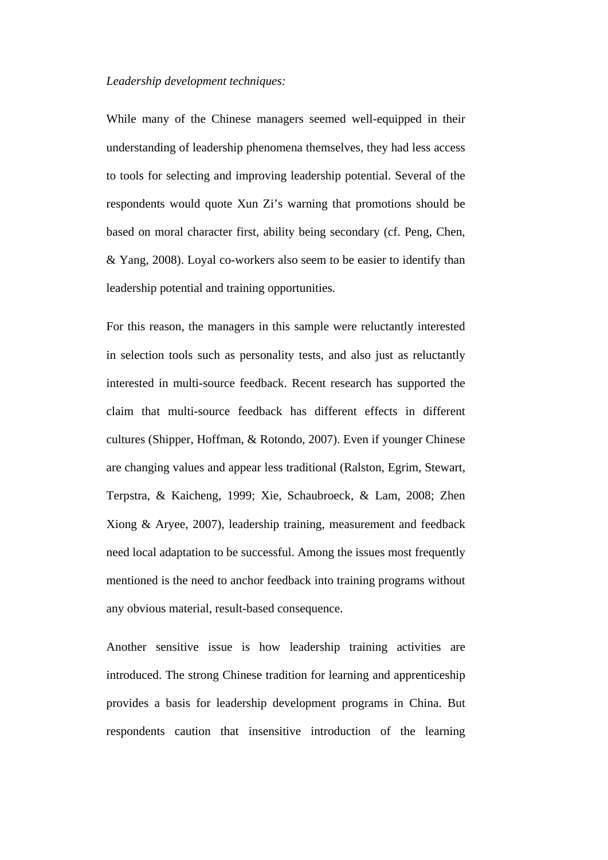### *Leadership development techniques:*

While many of the Chinese managers seemed well-equipped in their understanding of leadership phenomena themselves, they had less access to tools for selecting and improving leadership potential. Several of the respondents would quote Xun Zi's warning that promotions should be based on moral character first, ability being secondary (cf. Peng, Chen, & Yang, 2008). Loyal co-workers also seem to be easier to identify than leadership potential and training opportunities.

For this reason, the managers in this sample were reluctantly interested in selection tools such as personality tests, and also just as reluctantly interested in multi-source feedback. Recent research has supported the claim that multi-source feedback has different effects in different cultures (Shipper, Hoffman, & Rotondo, 2007). Even if younger Chinese are changing values and appear less traditional (Ralston, Egrim, Stewart, Terpstra, & Kaicheng, 1999; Xie, Schaubroeck, & Lam, 2008; Zhen Xiong & Aryee, 2007), leadership training, measurement and feedback need local adaptation to be successful. Among the issues most frequently mentioned is the need to anchor feedback into training programs without any obvious material, result-based consequence.

Another sensitive issue is how leadership training activities are introduced. The strong Chinese tradition for learning and apprenticeship provides a basis for leadership development programs in China. But respondents caution that insensitive introduction of the learning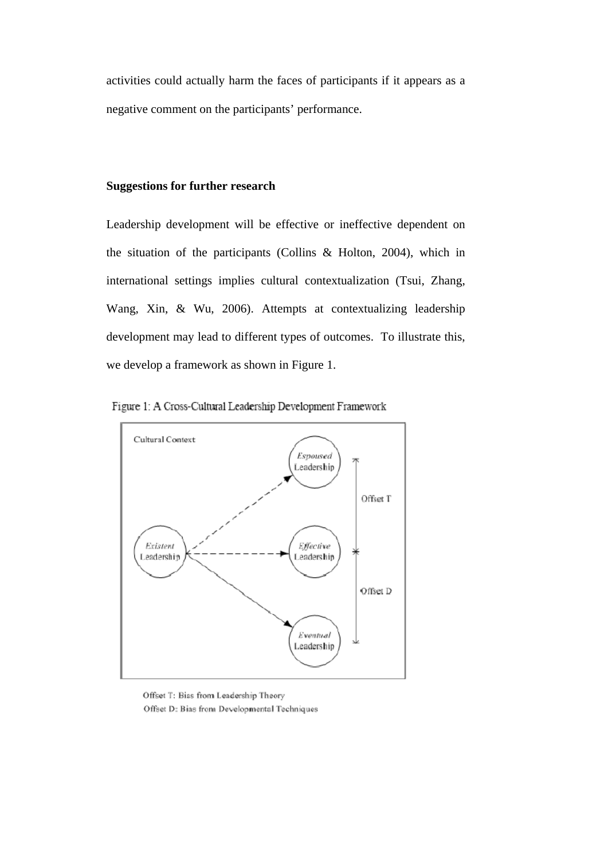activities could actually harm the faces of participants if it appears as a negative comment on the participants' performance.

### **Suggestions for further research**

Leadership development will be effective or ineffective dependent on the situation of the participants (Collins & Holton, 2004), which in international settings implies cultural contextualization (Tsui, Zhang, Wang, Xin, & Wu, 2006). Attempts at contextualizing leadership development may lead to different types of outcomes. To illustrate this, we develop a framework as shown in Figure 1.





Offset T: Bias from Leadership Theory Offset D: Bias from Developmental Techniques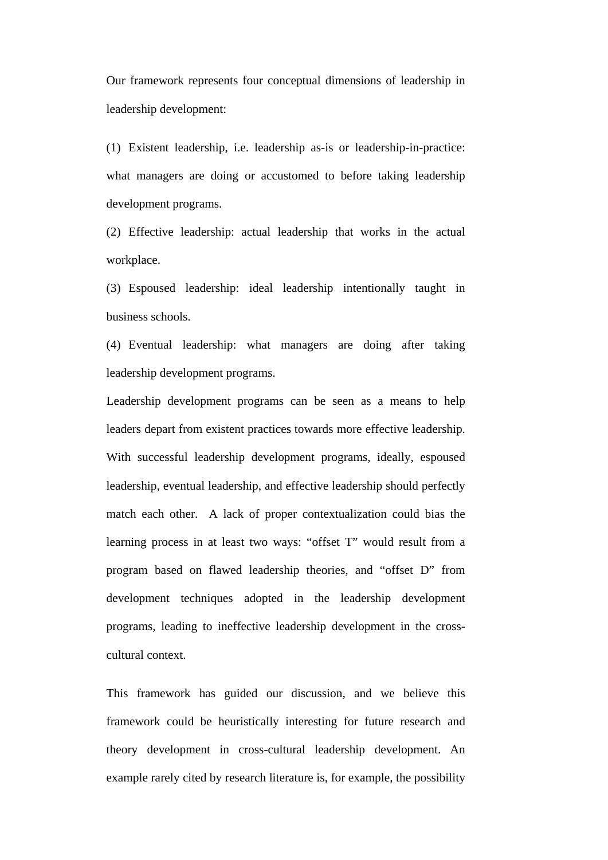Our framework represents four conceptual dimensions of leadership in leadership development:

(1) Existent leadership, i.e. leadership as-is or leadership-in-practice: what managers are doing or accustomed to before taking leadership development programs.

(2) Effective leadership: actual leadership that works in the actual workplace.

(3) Espoused leadership: ideal leadership intentionally taught in business schools.

(4) Eventual leadership: what managers are doing after taking leadership development programs.

Leadership development programs can be seen as a means to help leaders depart from existent practices towards more effective leadership. With successful leadership development programs, ideally, espoused leadership, eventual leadership, and effective leadership should perfectly match each other. A lack of proper contextualization could bias the learning process in at least two ways: "offset T" would result from a program based on flawed leadership theories, and "offset D" from development techniques adopted in the leadership development programs, leading to ineffective leadership development in the crosscultural context.

This framework has guided our discussion, and we believe this framework could be heuristically interesting for future research and theory development in cross-cultural leadership development. An example rarely cited by research literature is, for example, the possibility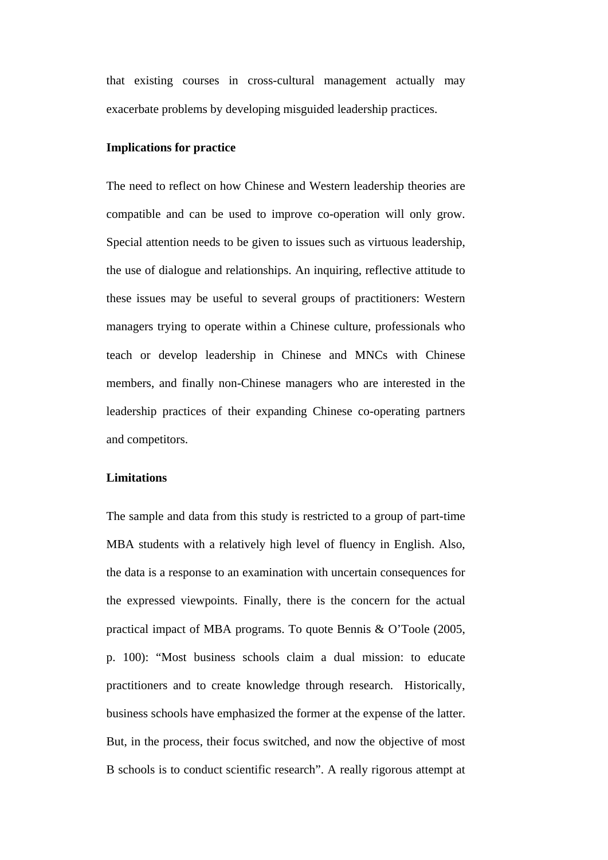that existing courses in cross-cultural management actually may exacerbate problems by developing misguided leadership practices.

### **Implications for practice**

The need to reflect on how Chinese and Western leadership theories are compatible and can be used to improve co-operation will only grow. Special attention needs to be given to issues such as virtuous leadership, the use of dialogue and relationships. An inquiring, reflective attitude to these issues may be useful to several groups of practitioners: Western managers trying to operate within a Chinese culture, professionals who teach or develop leadership in Chinese and MNCs with Chinese members, and finally non-Chinese managers who are interested in the leadership practices of their expanding Chinese co-operating partners and competitors.

### **Limitations**

The sample and data from this study is restricted to a group of part-time MBA students with a relatively high level of fluency in English. Also, the data is a response to an examination with uncertain consequences for the expressed viewpoints. Finally, there is the concern for the actual practical impact of MBA programs. To quote Bennis & O'Toole (2005, p. 100): "Most business schools claim a dual mission: to educate practitioners and to create knowledge through research. Historically, business schools have emphasized the former at the expense of the latter. But, in the process, their focus switched, and now the objective of most B schools is to conduct scientific research". A really rigorous attempt at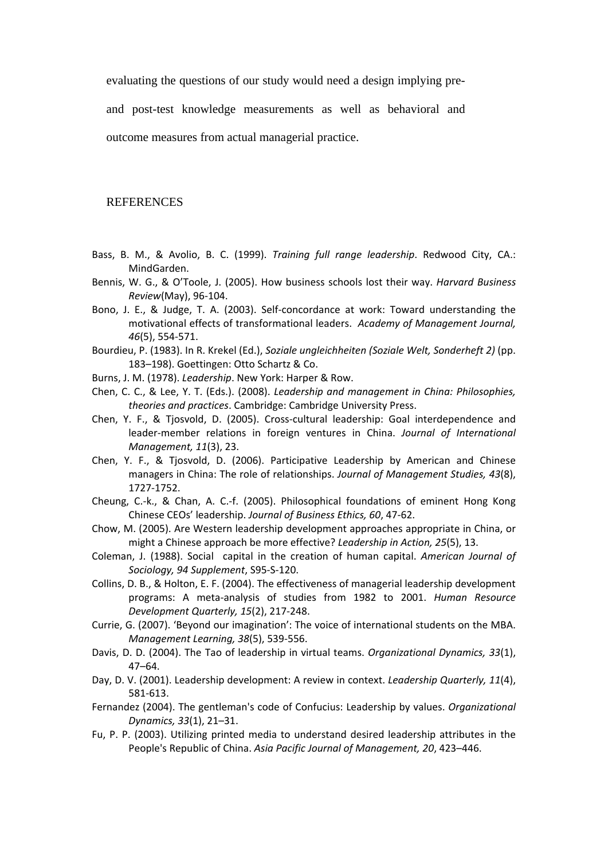evaluating the questions of our study would need a design implying pre-

and post-test knowledge measurements as well as behavioral and outcome measures from actual managerial practice.

**REFERENCES** 

- Bass, B. M., & Avolio, B. C. (1999). *Training full range leadership*. Redwood City, CA.: MindGarden.
- Bennis, W. G., & O'Toole, J. (2005). How business schools lost their way. *Harvard Business Review*(May), 96‐104.
- Bono, J. E., & Judge, T. A. (2003). Self‐concordance at work: Toward understanding the motivational effects of transformational leaders. *Academy of Management Journal, 46*(5), 554‐571.
- Bourdieu, P. (1983). In R. Krekel (Ed.), *Soziale ungleichheiten (Soziale Welt, Sonderheft 2)* (pp. 183–198). Goettingen: Otto Schartz & Co.
- Burns, J. M. (1978). *Leadership*. New York: Harper & Row.
- Chen, C. C., & Lee, Y. T. (Eds.). (2008). *Leadership and management in China: Philosophies, theories and practices*. Cambridge: Cambridge University Press.
- Chen, Y. F., & Tjosvold, D. (2005). Cross‐cultural leadership: Goal interdependence and leader‐member relations in foreign ventures in China. *Journal of International Management, 11*(3), 23.
- Chen, Y. F., & Tjosvold, D. (2006). Participative Leadership by American and Chinese managers in China: The role of relationships. *Journal of Management Studies, 43*(8), 1727‐1752.
- Cheung, C.‐k., & Chan, A. C.‐f. (2005). Philosophical foundations of eminent Hong Kong Chinese CEOs' leadership. *Journal of Business Ethics, 60*, 47‐62.
- Chow, M. (2005). Are Western leadership development approaches appropriate in China, or might a Chinese approach be more effective? *Leadership in Action, 25*(5), 13.
- Coleman, J. (1988). Social capital in the creation of human capital. *American Journal of Sociology, 94 Supplement*, S95‐S‐120.
- Collins, D. B., & Holton, E. F. (2004). The effectiveness of managerial leadership development programs: A meta‐analysis of studies from 1982 to 2001. *Human Resource Development Quarterly, 15*(2), 217‐248.
- Currie, G. (2007). 'Beyond our imagination': The voice of international students on the MBA. *Management Learning, 38*(5), 539‐556.
- Davis, D. D. (2004). The Tao of leadership in virtual teams. *Organizational Dynamics, 33*(1), 47–64.
- Day, D. V. (2001). Leadership development: A review in context. *Leadership Quarterly, 11*(4), 581‐613.
- Fernandez (2004). The gentleman's code of Confucius: Leadership by values. *Organizational Dynamics, 33*(1), 21–31.
- Fu, P. P. (2003). Utilizing printed media to understand desired leadership attributes in the People's Republic of China. *Asia Pacific Journal of Management, 20*, 423–446.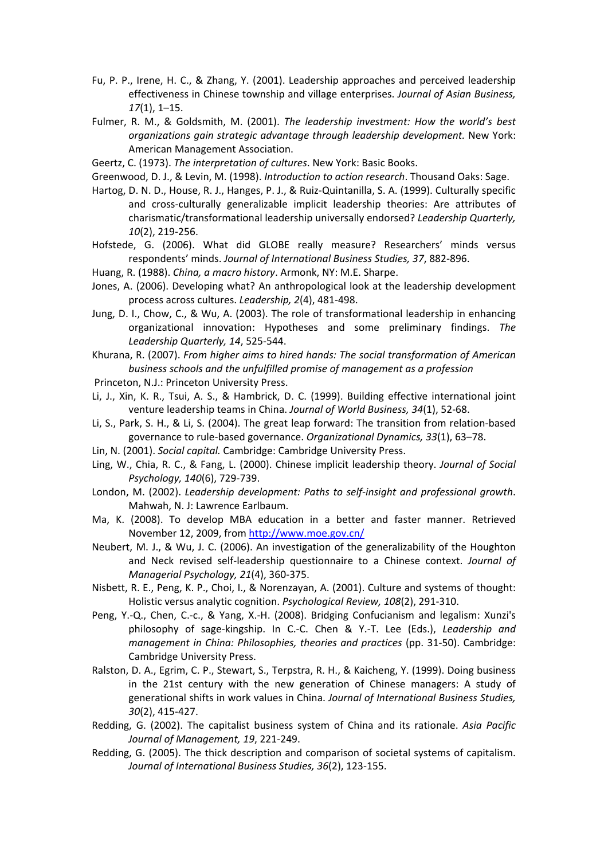- Fu, P. P., Irene, H. C., & Zhang, Y. (2001). Leadership approaches and perceived leadership effectiveness in Chinese township and village enterprises. *Journal of Asian Business, 17*(1), 1–15.
- Fulmer, R. M., & Goldsmith, M. (2001). *The leadership investment: How the world's best organizations gain strategic advantage through leadership development.* New York: American Management Association.
- Geertz, C. (1973). *The interpretation of cultures*. New York: Basic Books.
- Greenwood, D. J., & Levin, M. (1998). *Introduction to action research*. Thousand Oaks: Sage.
- Hartog, D. N. D., House, R. J., Hanges, P. J., & Ruiz‐Quintanilla, S. A. (1999). Culturally specific and cross‐culturally generalizable implicit leadership theories: Are attributes of charismatic/transformational leadership universally endorsed? *Leadership Quarterly, 10*(2), 219‐256.
- Hofstede, G. (2006). What did GLOBE really measure? Researchers' minds versus respondents' minds. *Journal of International Business Studies, 37*, 882‐896.
- Huang, R. (1988). *China, a macro history*. Armonk, NY: M.E. Sharpe.
- Jones, A. (2006). Developing what? An anthropological look at the leadership development process across cultures. *Leadership, 2*(4), 481‐498.
- Jung, D. I., Chow, C., & Wu, A. (2003). The role of transformational leadership in enhancing organizational innovation: Hypotheses and some preliminary findings. *The Leadership Quarterly, 14*, 525‐544.

Khurana, R. (2007). *From higher aims to hired hands: The social transformation of American business schools and the unfulfilled promise of management as a profession*

- Princeton, N.J.: Princeton University Press.
- Li, J., Xin, K. R., Tsui, A. S., & Hambrick, D. C. (1999). Building effective international joint venture leadership teams in China. *Journal of World Business, 34*(1), 52‐68.
- Li, S., Park, S. H., & Li, S. (2004). The great leap forward: The transition from relation‐based governance to rule‐based governance. *Organizational Dynamics, 33*(1), 63–78.
- Lin, N. (2001). *Social capital.* Cambridge: Cambridge University Press.
- Ling, W., Chia, R. C., & Fang, L. (2000). Chinese implicit leadership theory. *Journal of Social Psychology, 140*(6), 729‐739.
- London, M. (2002). *Leadership development: Paths to self‐insight and professional growth*. Mahwah, N. J: Lawrence Earlbaum.
- Ma, K. (2008). To develop MBA education in a better and faster manner. Retrieved November 12, 2009, from http://www.moe.gov.cn/
- Neubert, M. J., & Wu, J. C. (2006). An investigation of the generalizability of the Houghton and Neck revised self‐leadership questionnaire to a Chinese context. *Journal of Managerial Psychology, 21*(4), 360‐375.
- Nisbett, R. E., Peng, K. P., Choi, I., & Norenzayan, A. (2001). Culture and systems of thought: Holistic versus analytic cognition. *Psychological Review, 108*(2), 291‐310.
- Peng, Y.‐Q., Chen, C.‐c., & Yang, X.‐H. (2008). Bridging Confucianism and legalism: Xunzi's philosophy of sage‐kingship. In C.‐C. Chen & Y.‐T. Lee (Eds.), *Leadership and management in China: Philosophies, theories and practices* (pp. 31‐50). Cambridge: Cambridge University Press.
- Ralston, D. A., Egrim, C. P., Stewart, S., Terpstra, R. H., & Kaicheng, Y. (1999). Doing business in the 21st century with the new generation of Chinese managers: A study of generational shifts in work values in China. *Journal of International Business Studies, 30*(2), 415‐427.
- Redding, G. (2002). The capitalist business system of China and its rationale. *Asia Pacific Journal of Management, 19*, 221‐249.
- Redding, G. (2005). The thick description and comparison of societal systems of capitalism. *Journal of International Business Studies, 36*(2), 123‐155.